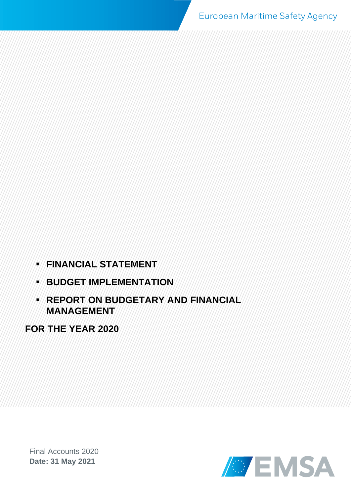- **FINANCIAL STATEMENT**
- **BUDGET IMPLEMENTATION**
- **REPORT ON BUDGETARY AND FINANCIAL MANAGEMENT**

**FOR THE YEAR 2020**



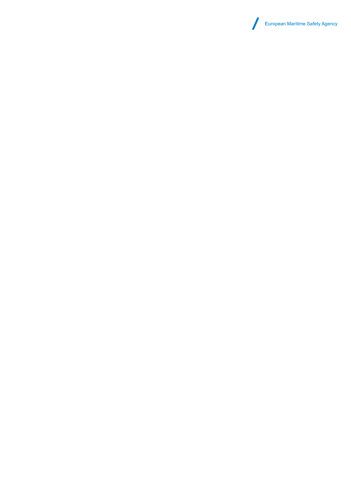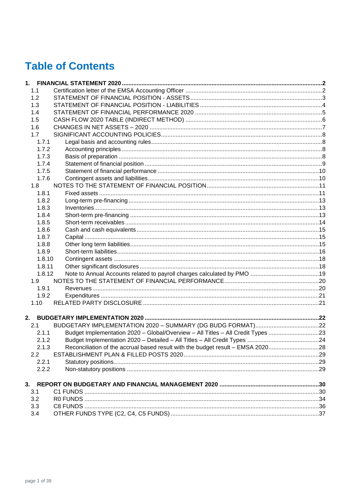# **Table of Contents**

| 1.1    |                                                                                 |  |
|--------|---------------------------------------------------------------------------------|--|
| 1.2    |                                                                                 |  |
| 1.3    |                                                                                 |  |
| 1.4    |                                                                                 |  |
| 1.5    |                                                                                 |  |
| 1.6    |                                                                                 |  |
| 1.7    |                                                                                 |  |
| 1.7.1  |                                                                                 |  |
| 1.7.2  |                                                                                 |  |
| 1.7.3  |                                                                                 |  |
| 1.7.4  |                                                                                 |  |
| 1.7.5  |                                                                                 |  |
| 1.7.6  |                                                                                 |  |
| 1.8    |                                                                                 |  |
| 1.8.1  |                                                                                 |  |
| 1.8.2  |                                                                                 |  |
| 1.8.3  |                                                                                 |  |
| 1.8.4  |                                                                                 |  |
| 1.8.5  |                                                                                 |  |
| 1.8.6  |                                                                                 |  |
| 1.8.7  |                                                                                 |  |
| 1.8.8  |                                                                                 |  |
| 1.8.9  |                                                                                 |  |
| 1.8.10 |                                                                                 |  |
| 1.8.11 |                                                                                 |  |
| 1.8.12 |                                                                                 |  |
| 1.9    |                                                                                 |  |
| 1.9.1  |                                                                                 |  |
| 1.9.2  |                                                                                 |  |
| 1.10   |                                                                                 |  |
|        |                                                                                 |  |
|        |                                                                                 |  |
| 2.1    |                                                                                 |  |
| 2.1.1  | Budget Implementation 2020 - Global/Overview - All Titles - All Credit Types 23 |  |
| 2.1.2  |                                                                                 |  |
| 2.1.3  | Reconciliation of the accrual based result with the budget result - EMSA 202028 |  |
| 2.2    |                                                                                 |  |
| 2.2.1  |                                                                                 |  |
| 2.2.2  |                                                                                 |  |
| 3.     |                                                                                 |  |
| 3.1    |                                                                                 |  |
| 3.2    |                                                                                 |  |
| 3.3    |                                                                                 |  |
| 3.4    |                                                                                 |  |
|        |                                                                                 |  |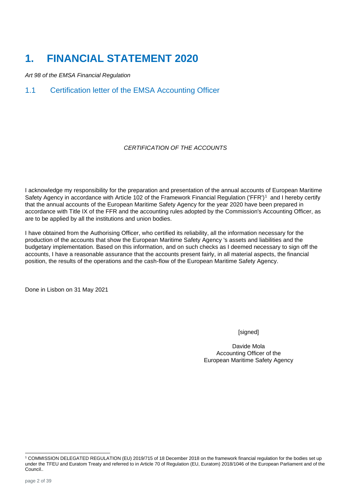# <span id="page-3-0"></span>**1. FINANCIAL STATEMENT 2020**

*Art 98 of the EMSA Financial Regulation*

### <span id="page-3-1"></span>1.1 Certification letter of the EMSA Accounting Officer

*CERTIFICATION OF THE ACCOUNTS*

I acknowledge my responsibility for the preparation and presentation of the annual accounts of European Maritime Safety Agency in accordance with Article 102 of the Framework Financial Regulation ('FFR')<sup>1</sup> and I hereby certify that the annual accounts of the European Maritime Safety Agency for the year 2020 have been prepared in accordance with Title IX of the FFR and the accounting rules adopted by the Commission's Accounting Officer, as are to be applied by all the institutions and union bodies.

I have obtained from the Authorising Officer, who certified its reliability, all the information necessary for the production of the accounts that show the European Maritime Safety Agency 's assets and liabilities and the budgetary implementation. Based on this information, and on such checks as I deemed necessary to sign off the accounts, I have a reasonable assurance that the accounts present fairly, in all material aspects, the financial position, the results of the operations and the cash-flow of the European Maritime Safety Agency.

Done in Lisbon on 31 May 2021

[signed]

Davide Mola Accounting Officer of the European Maritime Safety Agency

<sup>1</sup> COMMISSION DELEGATED REGULATION (EU) 2019/715 of 18 December 2018 on the framework financial regulation for the bodies set up under the TFEU and Euratom Treaty and referred to in Article 70 of Regulation (EU, Euratom) 2018/1046 of the European Parliament and of the Council..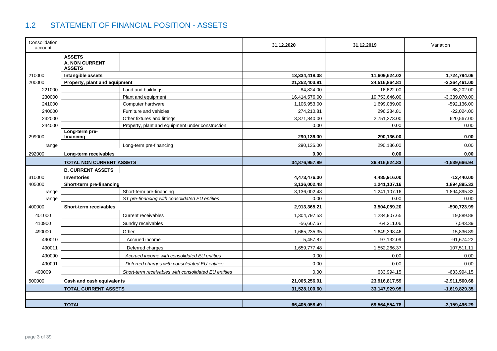## 1.2 STATEMENT OF FINANCIAL POSITION - ASSETS

<span id="page-4-0"></span>

| Consolidation<br>account |                                        |                                                      | 31.12.2020    | 31.12.2019       | Variation       |
|--------------------------|----------------------------------------|------------------------------------------------------|---------------|------------------|-----------------|
|                          | <b>ASSETS</b>                          |                                                      |               |                  |                 |
|                          | <b>A. NON CURRENT</b><br><b>ASSETS</b> |                                                      |               |                  |                 |
| 210000                   | Intangible assets                      |                                                      | 13,334,418.08 | 11,609,624.02    | 1.724.794.06    |
| 200000                   | Property, plant and equipment          |                                                      | 21,252,403.81 | 24,516,864.81    | $-3,264,461.00$ |
| 221000                   |                                        | Land and buildings                                   | 84,824.00     | 16,622.00        | 68,202.00       |
| 230000                   |                                        | Plant and equipment                                  | 16,414,576.00 | 19,753,646.00    | $-3,339,070.00$ |
| 241000                   |                                        | Computer hardware                                    | 1,106,953.00  | 1,699,089.00     | $-592,136.00$   |
| 240000                   |                                        | Furniture and vehicles                               | 274,210.81    | 296,234.81       | $-22,024.00$    |
| 242000                   |                                        | Other fixtures and fittings                          | 3,371,840.00  | 2,751,273.00     | 620,567.00      |
| 244000                   |                                        | Property, plant and equipment under construction     | 0.00          | 0.00             | 0.00            |
| 299000                   | Long-term pre-<br>financing            |                                                      | 290,136.00    | 290,136.00       | 0.00            |
| range                    |                                        | Long-term pre-financing                              | 290,136.00    | 290,136.00       | 0.00            |
| 292000                   | Long-term receivables                  |                                                      | 0.00          | 0.00             | 0.00            |
|                          | <b>TOTAL NON CURRENT ASSETS</b>        |                                                      | 34,876,957.89 | 36,416,624.83    | $-1,539,666.94$ |
|                          | <b>B. CURRENT ASSETS</b>               |                                                      |               |                  |                 |
| 310000                   | <b>Inventories</b>                     |                                                      | 4,473,476.00  | 4,485,916.00     | $-12,440.00$    |
| 405000                   | Short-term pre-financing               |                                                      | 3,136,002.48  | 1,241,107.16     | 1,894,895.32    |
| range                    |                                        | Short-term pre-financing                             | 3,136,002.48  | 1,241,107.16     | 1,894,895.32    |
| range                    |                                        | ST pre-financing with consolidated EU entities       | 0.00          | 0.00             | 0.00            |
| 400000                   | Short-term receivables                 |                                                      | 2,913,365.21  | 3,504,089.20     | -590,723.99     |
| 401000                   |                                        | Current receivables                                  | 1,304,797.53  | 1,284,907.65     | 19,889.88       |
| 410900                   |                                        | Sundry receivables                                   | $-56,667.67$  | $-64,211.06$     | 7,543.39        |
| 490000                   |                                        | Other                                                | 1,665,235.35  | 1,649,398.46     | 15,836.89       |
| 490010                   |                                        | Accrued income                                       | 5,457.87      | 97,132.09        | $-91,674.22$    |
| 490011                   |                                        | Deferred charges                                     | 1,659,777.48  | 1,552,266.37     | 107,511.11      |
| 490090                   |                                        | Accrued income with consolidated EU entities         | 0.00          | 0.00             | 0.00            |
| 490091                   |                                        | Deferred charges with consolidated EU entities       | 0.00          | 0.00             | 0.00            |
| 400009                   |                                        | Short-term receivables with consolidated EU entities | 0.00          | 633,994.15       | $-633,994.15$   |
| 500000                   | Cash and cash equivalents              |                                                      | 21,005,256.91 | 23,916,817.59    | $-2,911,560.68$ |
|                          | <b>TOTAL CURRENT ASSETS</b>            |                                                      | 31,528,100.60 | 33, 147, 929. 95 | $-1,619,829.35$ |
|                          |                                        |                                                      |               |                  |                 |
|                          | <b>TOTAL</b>                           |                                                      | 66,405,058.49 | 69,564,554.78    | $-3,159,496.29$ |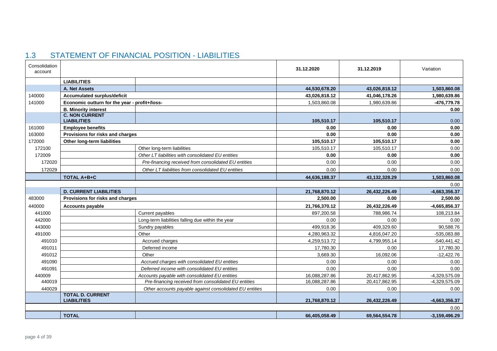# 1.3 STATEMENT OF FINANCIAL POSITION - LIABILITIES

<span id="page-5-0"></span>

| Consolidation<br>account |                                               |                                                         | 31.12.2020    | 31.12.2019       | Variation       |
|--------------------------|-----------------------------------------------|---------------------------------------------------------|---------------|------------------|-----------------|
|                          | <b>LIABILITIES</b>                            |                                                         |               |                  |                 |
|                          | A. Net Assets                                 |                                                         | 44,530,678.20 | 43.026.818.12    | 1,503,860.08    |
| 140000                   | Accumulated surplus/deficit                   |                                                         | 43,026,818.12 | 41,046,178.26    | 1,980,639.86    |
| 141000                   | Economic outturn for the year - profit+/loss- |                                                         | 1,503,860.08  | 1,980,639.86     | -476,779.78     |
|                          | <b>B. Minority interest</b>                   |                                                         |               |                  | 0.00            |
|                          | <b>C. NON CURRENT</b><br><b>LIABILITIES</b>   |                                                         | 105,510.17    | 105,510.17       | 0.00            |
| 161000                   | <b>Employee benefits</b>                      |                                                         | 0.00          | 0.00             | 0.00            |
| 163000                   | Provisions for risks and charges              |                                                         | 0.00          | 0.00             | 0.00            |
| 172000                   | Other long-term liabilities                   |                                                         | 105,510.17    | 105,510.17       | 0.00            |
| 172100                   |                                               | Other long-term liabilities                             | 105,510.17    | 105,510.17       | 0.00            |
| 172009                   |                                               | Other LT liabilities with consolidated EU entities      | 0.00          | 0.00             | 0.00            |
| 172020                   |                                               | Pre-financing received from consolidated EU entities    | 0.00          | 0.00             | 0.00            |
| 172029                   |                                               | Other LT liabilities from consolidated EU entities      | 0.00          | 0.00             | 0.00            |
|                          | <b>TOTAL A+B+C</b>                            |                                                         | 44,636,188.37 | 43, 132, 328. 29 | 1,503,860.08    |
|                          |                                               |                                                         |               |                  | 0.00            |
|                          | <b>D. CURRENT LIABILITIES</b>                 |                                                         | 21,768,870.12 | 26,432,226.49    | $-4,663,356.37$ |
| 483000                   | Provisions for risks and charges              |                                                         | 2,500.00      | 0.00             | 2,500.00        |
| 440000                   | <b>Accounts payable</b>                       |                                                         | 21,766,370.12 | 26,432,226.49    | $-4,665,856.37$ |
| 441000                   |                                               | Current payables                                        | 897.200.58    | 788,986.74       | 108,213.84      |
| 442000                   |                                               | Long-term liabilities falling due within the year       | 0.00          | 0.00             | 0.00            |
| 443000                   |                                               | Sundry payables                                         | 499,918.36    | 409,329.60       | 90,588.76       |
| 491000                   |                                               | Other                                                   | 4,280,963.32  | 4,816,047.20     | $-535,083.88$   |
| 491010                   |                                               | Accrued charges                                         | 4,259,513.72  | 4,799,955.14     | $-540,441.42$   |
| 491011                   |                                               | Deferred income                                         | 17,780.30     | 0.00             | 17,780.30       |
| 491012                   |                                               | Other                                                   | 3,669.30      | 16,092.06        | $-12,422.76$    |
| 491090                   |                                               | Accrued charges with consolidated EU entities           | 0.00          | 0.00             | 0.00            |
| 491091                   |                                               | Deferred income with consolidated EU entities           | 0.00          | 0.00             | 0.00            |
| 440009                   |                                               | Accounts payable with consolidated EU entities          | 16,088,287.86 | 20,417,862.95    | $-4,329,575.09$ |
| 440019                   |                                               | Pre-financing received from consolidated EU entities    | 16,088,287.86 | 20,417,862.95    | -4,329,575.09   |
| 440029                   |                                               | Other accounts payable against consolidated EU entities | 0.00          | 0.00             | 0.00            |
|                          | <b>TOTAL D. CURRENT</b><br><b>LIABILITIES</b> |                                                         | 21,768,870.12 | 26,432,226.49    | -4,663,356.37   |
|                          |                                               |                                                         |               |                  | 0.00            |
|                          | <b>TOTAL</b>                                  |                                                         | 66,405,058.49 | 69,564,554.78    | $-3,159,496.29$ |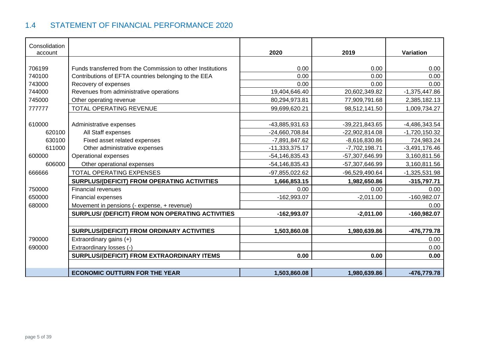## 1.4 STATEMENT OF FINANCIAL PERFORMANCE 2020

<span id="page-6-0"></span>

| Consolidation<br>account |                                                             | 2020               | 2019            | Variation       |
|--------------------------|-------------------------------------------------------------|--------------------|-----------------|-----------------|
|                          |                                                             |                    |                 |                 |
| 706199                   | Funds transferred from the Commission to other Institutions | 0.00               | 0.00            | 0.00            |
| 740100                   | Contributions of EFTA countries belonging to the EEA        | 0.00               | 0.00            | 0.00            |
| 743000                   | Recovery of expenses                                        | 0.00               | 0.00            | 0.00            |
| 744000                   | Revenues from administrative operations                     | 19,404,646.40      | 20,602,349.82   | $-1,375,447.86$ |
| 745000                   | Other operating revenue                                     | 80,294,973.81      | 77,909,791.68   | 2,385,182.13    |
| 777777                   | <b>TOTAL OPERATING REVENUE</b>                              | 99,699,620.21      | 98,512,141.50   | 1,009,734.27    |
|                          |                                                             |                    |                 |                 |
| 610000                   | Administrative expenses                                     | -43,885,931.63     | -39,221,843.65  | $-4,486,343.54$ |
| 620100                   | All Staff expenses                                          | -24,660,708.84     | -22,902,814.08  | $-1,720,150.32$ |
| 630100                   | Fixed asset related expenses                                | -7,891,847.62      | $-8,616,830.86$ | 724,983.24      |
| 611000                   | Other administrative expenses                               | $-11,333,375.17$   | $-7,702,198.71$ | $-3,491,176.46$ |
| 600000                   | Operational expenses                                        | $-54, 146, 835.43$ | -57,307,646.99  | 3,160,811.56    |
| 606000                   | Other operational expenses                                  | $-54, 146, 835.43$ | -57,307,646.99  | 3,160,811.56    |
| 666666                   | <b>TOTAL OPERATING EXPENSES</b>                             | -97,855,022.62     | -96,529,490.64  | $-1,325,531.98$ |
|                          | <b>SURPLUS/(DEFICIT) FROM OPERATING ACTIVITIES</b>          | 1,666,853.15       | 1,982,650.86    | $-315,797.71$   |
| 750000                   | <b>Financial revenues</b>                                   | 0.00               | 0.00            | 0.00            |
| 650000                   | <b>Financial expenses</b>                                   | $-162,993.07$      | $-2,011.00$     | $-160,982.07$   |
| 680000                   | Movement in pensions (- expense, + revenue)                 |                    |                 | 0.00            |
|                          | SURPLUS/ (DEFICIT) FROM NON OPERATING ACTIVITIES            | $-162,993.07$      | $-2,011.00$     | $-160,982.07$   |
|                          |                                                             |                    |                 |                 |
|                          | SURPLUS/(DEFICIT) FROM ORDINARY ACTIVITIES                  | 1,503,860.08       | 1,980,639.86    | -476,779.78     |
| 790000                   | Extraordinary gains (+)                                     |                    |                 | 0.00            |
| 690000                   | Extraordinary losses (-)                                    |                    |                 | 0.00            |
|                          | SURPLUS/(DEFICIT) FROM EXTRAORDINARY ITEMS                  | 0.00               | 0.00            | 0.00            |
|                          |                                                             |                    |                 |                 |
|                          | <b>ECONOMIC OUTTURN FOR THE YEAR</b>                        | 1,503,860.08       | 1,980,639.86    | $-476,779.78$   |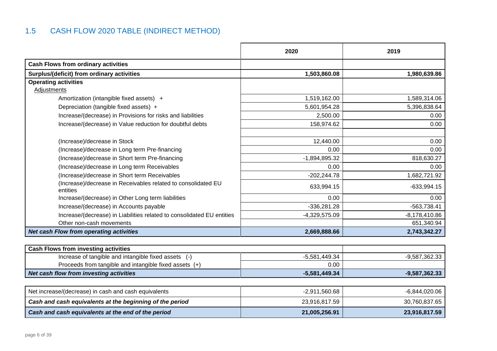# 1.5 CASH FLOW 2020 TABLE (INDIRECT METHOD)

<span id="page-7-0"></span>

|                                                                           | 2020            | 2019            |
|---------------------------------------------------------------------------|-----------------|-----------------|
| <b>Cash Flows from ordinary activities</b>                                |                 |                 |
| Surplus/(deficit) from ordinary activities                                | 1,503,860.08    | 1,980,639.86    |
| <b>Operating activities</b>                                               |                 |                 |
| Adjustments                                                               |                 |                 |
| Amortization (intangible fixed assets) +                                  | 1,519,162.00    | 1,589,314.06    |
| Depreciation (tangible fixed assets) +                                    | 5,601,954.28    | 5,396,838.64    |
| Increase/(decrease) in Provisions for risks and liabilities               | 2,500.00        | 0.00            |
| Increase/(decrease) in Value reduction for doubtful debts                 | 158,974.62      | 0.00            |
| (Increase)/decrease in Stock                                              | 12,440.00       | 0.00            |
| (Increase)/decrease in Long term Pre-financing                            | 0.00            | 0.00            |
| (Increase)/decrease in Short term Pre-financing                           | -1,894,895.32   | 818,630.27      |
| (Increase)/decrease in Long term Receivables                              | 0.00            | 0.00            |
| (Increase)/decrease in Short term Receivables                             | $-202,244.78$   | 1,682,721.92    |
| (Increase)/decrease in Receivables related to consolidated EU<br>entities | 633,994.15      | $-633,994.15$   |
| Increase/(decrease) in Other Long term liabilities                        | 0.00            | 0.00            |
| Increase/(decrease) in Accounts payable                                   | $-336,281.28$   | $-563,738.41$   |
| Increase/(decrease) in Liabilities related to consolidated EU entities    | -4,329,575.09   | $-8,178,410.86$ |
| Other non-cash movements                                                  |                 | 651,340.94      |
| <b>Net cash Flow from operating activities</b>                            | 2,669,888.66    | 2,743,342.27    |
| <b>Cash Flows from investing activities</b>                               |                 |                 |
| Increase of tangible and intangible fixed assets (-)                      | $-5,581,449.34$ | -9,587,362.33   |
| Proceeds from tangible and intangible fixed assets (+)                    | 0.00            |                 |
| Net cash flow from investing activities                                   | $-5,581,449.34$ | $-9,587,362.33$ |
|                                                                           |                 |                 |
| Net increase/(decrease) in cash and cash equivalents                      | $-2,911,560.68$ | $-6,844,020.06$ |
| Cash and cash equivalents at the beginning of the period                  | 23,916,817.59   | 30,760,837.65   |
| Cash and cash equivalents at the end of the period                        | 21,005,256.91   | 23,916,817.59   |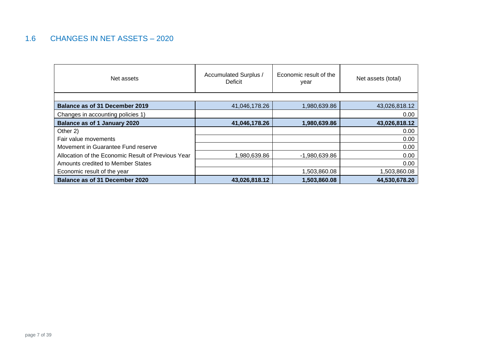# 1.6 CHANGES IN NET ASSETS – 2020

<span id="page-8-0"></span>

| Net assets                                         | Accumulated Surplus /<br>Deficit | Economic result of the<br>year | Net assets (total) |
|----------------------------------------------------|----------------------------------|--------------------------------|--------------------|
|                                                    |                                  |                                |                    |
| Balance as of 31 December 2019                     | 41,046,178.26                    | 1,980,639.86                   | 43,026,818.12      |
| Changes in accounting policies 1)                  |                                  |                                | 0.00               |
| <b>Balance as of 1 January 2020</b>                | 41,046,178.26                    | 1,980,639.86                   | 43,026,818.12      |
| Other 2)                                           |                                  |                                | 0.00               |
| Fair value movements                               |                                  |                                | 0.00               |
| Movement in Guarantee Fund reserve                 |                                  |                                | 0.00               |
| Allocation of the Economic Result of Previous Year | 1,980,639.86                     | $-1,980,639.86$                | 0.00               |
| Amounts credited to Member States                  |                                  |                                | 0.00               |
| Economic result of the year                        |                                  | 1,503,860.08                   | 1,503,860.08       |
| Balance as of 31 December 2020                     | 43,026,818.12                    | 1,503,860.08                   | 44,530,678.20      |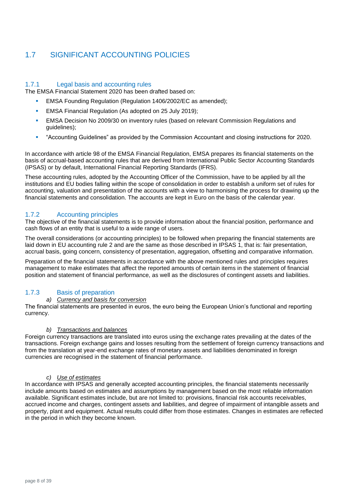## <span id="page-9-0"></span>1.7 SIGNIFICANT ACCOUNTING POLICIES

#### <span id="page-9-1"></span>1.7.1 Legal basis and accounting rules

The EMSA Financial Statement 2020 has been drafted based on:

- EMSA Founding Regulation (Regulation 1406/2002/EC as amended):
- **EMSA Financial Regulation (As adopted on 25 July 2019):**
- **EMSA Decision No 2009/30 on inventory rules (based on relevant Commission Regulations and** guidelines);
- "Accounting Guidelines" as provided by the Commission Accountant and closing instructions for 2020.

In accordance with article 98 of the EMSA Financial Regulation, EMSA prepares its financial statements on the basis of accrual-based accounting rules that are derived from International Public Sector Accounting Standards (IPSAS) or by default, International Financial Reporting Standards (IFRS).

These accounting rules, adopted by the Accounting Officer of the Commission, have to be applied by all the institutions and EU bodies falling within the scope of consolidation in order to establish a uniform set of rules for accounting, valuation and presentation of the accounts with a view to harmonising the process for drawing up the financial statements and consolidation. The accounts are kept in Euro on the basis of the calendar year.

#### <span id="page-9-2"></span>1.7.2 Accounting principles

The objective of the financial statements is to provide information about the financial position, performance and cash flows of an entity that is useful to a wide range of users.

The overall considerations (or accounting principles) to be followed when preparing the financial statements are laid down in EU accounting rule 2 and are the same as those described in IPSAS 1, that is: fair presentation, accrual basis, going concern, consistency of presentation, aggregation, offsetting and comparative information.

Preparation of the financial statements in accordance with the above mentioned rules and principles requires management to make estimates that affect the reported amounts of certain items in the statement of financial position and statement of financial performance, as well as the disclosures of contingent assets and liabilities.

#### <span id="page-9-3"></span>1.7.3 Basis of preparation

#### *a) Currency and basis for conversion*

The financial statements are presented in euros, the euro being the European Union's functional and reporting currency.

#### *b) Transactions and balances*

Foreign currency transactions are translated into euros using the exchange rates prevailing at the dates of the transactions. Foreign exchange gains and losses resulting from the settlement of foreign currency transactions and from the translation at year-end exchange rates of monetary assets and liabilities denominated in foreign currencies are recognised in the statement of financial performance.

#### *c) Use of estimates*

In accordance with IPSAS and generally accepted accounting principles, the financial statements necessarily include amounts based on estimates and assumptions by management based on the most reliable information available. Significant estimates include, but are not limited to: provisions, financial risk accounts receivables, accrued income and charges, contingent assets and liabilities, and degree of impairment of intangible assets and property, plant and equipment. Actual results could differ from those estimates. Changes in estimates are reflected in the period in which they become known.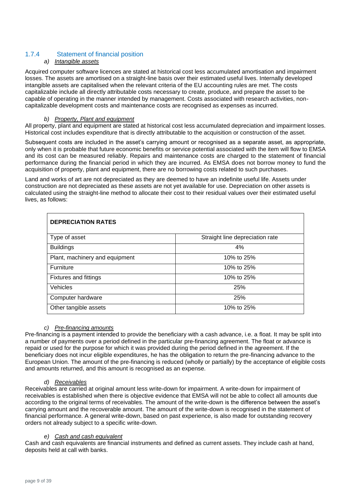#### <span id="page-10-0"></span>1.7.4 Statement of financial position *a) Intangible assets*

Acquired computer software licences are stated at historical cost less accumulated amortisation and impairment losses. The assets are amortised on a straight-line basis over their estimated useful lives. Internally developed intangible assets are capitalised when the relevant criteria of the EU accounting rules are met. The costs capitalizable include all directly attributable costs necessary to create, produce, and prepare the asset to be capable of operating in the manner intended by management. Costs associated with research activities, noncapitalizable development costs and maintenance costs are recognised as expenses as incurred.

#### *b) Property, Plant and equipment*

All property, plant and equipment are stated at historical cost less accumulated depreciation and impairment losses. Historical cost includes expenditure that is directly attributable to the acquisition or construction of the asset.

Subsequent costs are included in the asset's carrying amount or recognised as a separate asset, as appropriate, only when it is probable that future economic benefits or service potential associated with the item will flow to EMSA and its cost can be measured reliably. Repairs and maintenance costs are charged to the statement of financial performance during the financial period in which they are incurred. As EMSA does not borrow money to fund the acquisition of property, plant and equipment, there are no borrowing costs related to such purchases.

Land and works of art are not depreciated as they are deemed to have an indefinite useful life. Assets under construction are not depreciated as these assets are not yet available for use. Depreciation on other assets is calculated using the straight-line method to allocate their cost to their residual values over their estimated useful lives, as follows:

| <b>DEPRECIATION RATES</b>      |                                 |
|--------------------------------|---------------------------------|
| Type of asset                  | Straight line depreciation rate |
| <b>Buildings</b>               | 4%                              |
| Plant, machinery and equipment | 10% to 25%                      |
| Furniture                      | 10% to 25%                      |
| <b>Fixtures and fittings</b>   | 10% to 25%                      |
| Vehicles                       | 25%                             |
| Computer hardware              | 25%                             |
| Other tangible assets          | 10% to 25%                      |

#### *c) Pre-financing amounts*

Pre-financing is a payment intended to provide the beneficiary with a cash advance, i.e. a float. It may be split into a number of payments over a period defined in the particular pre-financing agreement. The float or advance is repaid or used for the purpose for which it was provided during the period defined in the agreement. If the beneficiary does not incur eligible expenditures, he has the obligation to return the pre-financing advance to the European Union. The amount of the pre-financing is reduced (wholly or partially) by the acceptance of eligible costs and amounts returned, and this amount is recognised as an expense.

#### *d) Receivables*

Receivables are carried at original amount less write-down for impairment. A write-down for impairment of receivables is established when there is objective evidence that EMSA will not be able to collect all amounts due according to the original terms of receivables. The amount of the write-down is the difference between the asset's carrying amount and the recoverable amount. The amount of the write-down is recognised in the statement of financial performance. A general write-down, based on past experience, is also made for outstanding recovery orders not already subject to a specific write-down.

#### *e) Cash and cash equivalent*

Cash and cash equivalents are financial instruments and defined as current assets. They include cash at hand, deposits held at call with banks.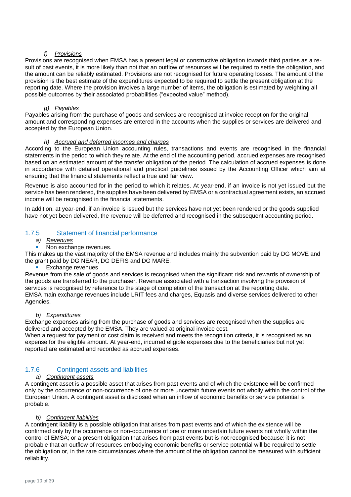#### *f) Provisions*

Provisions are recognised when EMSA has a present legal or constructive obligation towards third parties as a result of past events, it is more likely than not that an outflow of resources will be required to settle the obligation, and the amount can be reliably estimated. Provisions are not recognised for future operating losses. The amount of the provision is the best estimate of the expenditures expected to be required to settle the present obligation at the reporting date. Where the provision involves a large number of items, the obligation is estimated by weighting all possible outcomes by their associated probabilities ("expected value" method).

#### *g) Payables*

Payables arising from the purchase of goods and services are recognised at invoice reception for the original amount and corresponding expenses are entered in the accounts when the supplies or services are delivered and accepted by the European Union.

#### *h) Accrued and deferred incomes and charges*

According to the European Union accounting rules, transactions and events are recognised in the financial statements in the period to which they relate. At the end of the accounting period, accrued expenses are recognised based on an estimated amount of the transfer obligation of the period. The calculation of accrued expenses is done in accordance with detailed operational and practical guidelines issued by the Accounting Officer which aim at ensuring that the financial statements reflect a true and fair view.

Revenue is also accounted for in the period to which it relates. At year-end, if an invoice is not yet issued but the service has been rendered, the supplies have been delivered by EMSA or a contractual agreement exists, an accrued income will be recognised in the financial statements.

In addition, at year-end, if an invoice is issued but the services have not yet been rendered or the goods supplied have not yet been delivered, the revenue will be deferred and recognised in the subsequent accounting period.

#### <span id="page-11-0"></span>1.7.5 Statement of financial performance

#### *a) Revenues*

Non exchange revenues.

This makes up the vast majority of the EMSA revenue and includes mainly the subvention paid by DG MOVE and the grant paid by DG NEAR, DG DEFIS and DG MARE.

#### **Exchange revenues**

Revenue from the sale of goods and services is recognised when the significant risk and rewards of ownership of the goods are transferred to the purchaser. Revenue associated with a transaction involving the provision of services is recognised by reference to the stage of completion of the transaction at the reporting date. EMSA main exchange revenues include LRIT fees and charges, Equasis and diverse services delivered to other Agencies.

#### *b) Expenditures*

Exchange expenses arising from the purchase of goods and services are recognised when the supplies are delivered and accepted by the EMSA. They are valued at original invoice cost.

When a request for payment or cost claim is received and meets the recognition criteria, it is recognised as an expense for the eligible amount. At year-end, incurred eligible expenses due to the beneficiaries but not yet reported are estimated and recorded as accrued expenses.

#### <span id="page-11-1"></span>1.7.6 Contingent assets and liabilities

#### *a) Contingent assets*

A contingent asset is a possible asset that arises from past events and of which the existence will be confirmed only by the occurrence or non-occurrence of one or more uncertain future events not wholly within the control of the European Union. A contingent asset is disclosed when an inflow of economic benefits or service potential is probable.

#### *b) Contingent liabilities*

A contingent liability is a possible obligation that arises from past events and of which the existence will be confirmed only by the occurrence or non-occurrence of one or more uncertain future events not wholly within the control of EMSA; or a present obligation that arises from past events but is not recognised because: it is not probable that an outflow of resources embodying economic benefits or service potential will be required to settle the obligation or, in the rare circumstances where the amount of the obligation cannot be measured with sufficient reliability.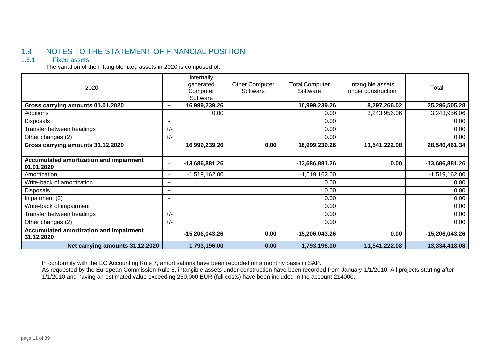# 1.8 NOTES TO THE STATEMENT OF FINANCIAL POSITION<br>1.8.1 Fixed assets

#### **Fixed assets**

The variation of the intangible fixed assets in 2020 is composed of:

| 2020                                                  |           | Internally<br>generated<br>Computer<br>Software | <b>Other Computer</b><br>Software | <b>Total Computer</b><br>Software | Intangible assets<br>under construction | Total            |
|-------------------------------------------------------|-----------|-------------------------------------------------|-----------------------------------|-----------------------------------|-----------------------------------------|------------------|
| Gross carrying amounts 01.01.2020                     | ÷         | 16,999,239.26                                   |                                   | 16,999,239.26                     | 8,297,266.02                            | 25,296,505.28    |
| Additions                                             | $\ddot{}$ | 0.00                                            |                                   | 0.00                              | 3,243,956.06                            | 3,243,956.06     |
| <b>Disposals</b>                                      |           |                                                 |                                   | 0.00                              |                                         | 0.00             |
| Transfer between headings                             | $+/-$     |                                                 |                                   | 0.00                              |                                         | 0.00             |
| Other changes (2)                                     | $+/-$     |                                                 |                                   | 0.00                              |                                         | 0.00             |
| Gross carrying amounts 31.12.2020                     |           | 16,999,239.26                                   | 0.00                              | 16,999,239.26                     | 11,541,222.08                           | 28,540,461.34    |
|                                                       |           |                                                 |                                   |                                   |                                         |                  |
| Accumulated amortization and impairment<br>01.01.2020 |           | -13,686,881.26                                  |                                   | -13,686,881.26                    | 0.00                                    | -13,686,881.26   |
| Amortization                                          | ٠         | $-1,519,162.00$                                 |                                   | $-1,519,162.00$                   |                                         | $-1,519,162.00$  |
| Write-back of amortization                            | $\pm$     |                                                 |                                   | 0.00                              |                                         | 0.00             |
| Disposals                                             |           |                                                 |                                   | 0.00                              |                                         | 0.00             |
| Impairment (2)                                        | ٠         |                                                 |                                   | 0.00                              |                                         | 0.00             |
| Write-back of impairment                              | $\ddot{}$ |                                                 |                                   | 0.00                              |                                         | 0.00             |
| Transfer between headings                             | $+/-$     |                                                 |                                   | 0.00                              |                                         | 0.00             |
| Other changes (2)                                     | $+/-$     |                                                 |                                   | 0.00                              |                                         | 0.00             |
| Accumulated amortization and impairment<br>31.12.2020 |           | $-15,206,043.26$                                | 0.00                              | $-15,206,043.26$                  | 0.00                                    | $-15,206,043.26$ |
| Net carrying amounts 31.12.2020                       |           | 1,793,196.00                                    | 0.00                              | 1,793,196.00                      | 11,541,222.08                           | 13,334,418.08    |

<span id="page-12-1"></span><span id="page-12-0"></span>In conformity with the EC Accounting Rule 7, amortisations have been recorded on a monthly basis in SAP.

As requested by the European Commission Rule 6, intangible assets under construction have been recorded from January 1/1/2010. All projects starting after 1/1/2010 and having an estimated value exceeding 250,000 EUR (full costs) have been included in the account 214000.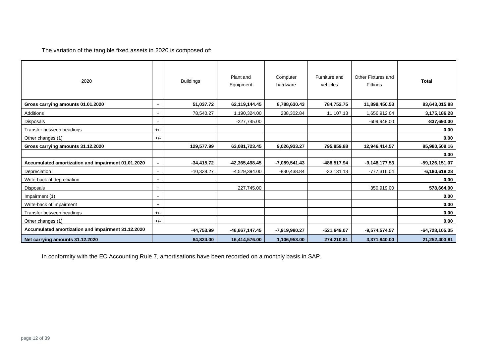The variation of the tangible fixed assets in 2020 is composed of:

| 2020                                               |           | <b>Buildings</b> | Plant and<br>Equipment | Computer<br>hardware | Furniture and<br>vehicles | Other Fixtures and<br>Fittings | <b>Total</b>       |
|----------------------------------------------------|-----------|------------------|------------------------|----------------------|---------------------------|--------------------------------|--------------------|
| Gross carrying amounts 01.01.2020                  | $+$       | 51,037.72        | 62,119,144.45          | 8,788,630.43         | 784,752.75                | 11,899,450.53                  | 83,643,015.88      |
| Additions                                          | $\ddot{}$ | 78,540.27        | 1,190,324.00           | 238,302.84           | 11,107.13                 | 1,656,912.04                   | 3,175,186.28       |
| Disposals                                          |           |                  | $-227,745.00$          |                      |                           | $-609,948.00$                  | $-837,693.00$      |
| Transfer between headings                          | $+/-$     |                  |                        |                      |                           |                                | 0.00               |
| Other changes (1)                                  | $+/-$     |                  |                        |                      |                           |                                | 0.00               |
| Gross carrying amounts 31.12.2020                  |           | 129,577.99       | 63,081,723.45          | 9,026,933.27         | 795,859.88                | 12,946,414.57                  | 85,980,509.16      |
|                                                    |           |                  |                        |                      |                           |                                | 0.00               |
| Accumulated amortization and impairment 01.01.2020 |           | $-34,415.72$     | -42,365,498.45         | $-7,089,541.43$      | -488,517.94               | $-9,148,177.53$                | $-59, 126, 151.07$ |
| Depreciation                                       |           | $-10,338.27$     | $-4,529,394.00$        | $-830,438.84$        | $-33,131.13$              | -777,316.04                    | $-6,180,618.28$    |
| Write-back of depreciation                         | $\ddot{}$ |                  |                        |                      |                           |                                | 0.00               |
| Disposals                                          | $\div$    |                  | 227,745.00             |                      |                           | 350,919.00                     | 578,664.00         |
| Impairment (1)                                     |           |                  |                        |                      |                           |                                | 0.00               |
| Write-back of impairment                           | $\div$    |                  |                        |                      |                           |                                | 0.00               |
| Transfer between headings                          | $+/-$     |                  |                        |                      |                           |                                | 0.00               |
| Other changes (1)                                  | $+/-$     |                  |                        |                      |                           |                                | 0.00               |
| Accumulated amortization and impairment 31.12.2020 |           | -44,753.99       | -46,667,147.45         | -7,919,980.27        | $-521,649.07$             | $-9,574,574.57$                | $-64,728,105.35$   |
| Net carrying amounts 31.12.2020                    |           | 84,824.00        | 16,414,576.00          | 1,106,953.00         | 274,210.81                | 3,371,840.00                   | 21,252,403.81      |

In conformity with the EC Accounting Rule 7, amortisations have been recorded on a monthly basis in SAP.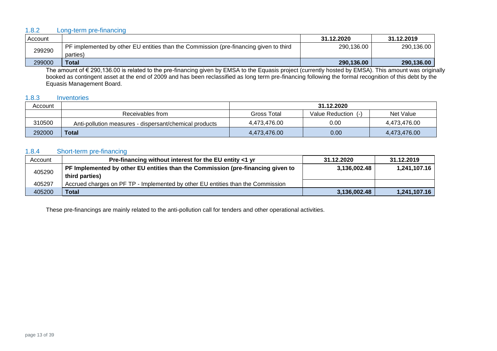#### 1.8.2 Long-term pre-financing

| l Account |                                                                                                   | 31.12.2020 | 31.12.2019 |
|-----------|---------------------------------------------------------------------------------------------------|------------|------------|
| 299290    | PF implemented by other EU entities than the Commission (pre-financing given to third<br>parties) | 290,136.00 | 290,136.00 |
| 299000    | <b>Total</b>                                                                                      | 290,136.00 | 290.136.00 |

The amount of € 290,136.00 is related to the pre-financing given by EMSA to the Equasis project (currently hosted by EMSA). This amount was originally booked as contingent asset at the end of 2009 and has been reclassified as long term pre-financing following the formal recognition of this debt by the Equasis Management Board.

#### 1.8.3 Inventories

| Account |                                                        | 31.12.2020   |                     |              |  |  |
|---------|--------------------------------------------------------|--------------|---------------------|--------------|--|--|
|         | Receivables from                                       | Gross Total  | Value Reduction (-) | Net Value    |  |  |
| 310500  | Anti-pollution measures - dispersant/chemical products | 4.473.476.00 | 0.00                | 4,473,476.00 |  |  |
| 292000  | <b>Total</b>                                           | 4.473.476.00 | 0.00                | 4,473,476.00 |  |  |

#### 1.8.4 Short-term pre-financing

<span id="page-14-0"></span>

| Account | Pre-financing without interest for the EU entity <1 yr                                            | 31.12.2020   | 31.12.2019   |
|---------|---------------------------------------------------------------------------------------------------|--------------|--------------|
| 405290  | PF Implemented by other EU entities than the Commission (pre-financing given to<br>third parties) | 3,136,002.48 | 1,241,107.16 |
| 405297  | Accrued charges on PF TP - Implemented by other EU entities than the Commission                   |              |              |
| 405200  | <b>Total</b>                                                                                      | 3,136,002.48 | 1,241,107.16 |

<span id="page-14-2"></span><span id="page-14-1"></span>These pre-financings are mainly related to the anti-pollution call for tenders and other operational activities.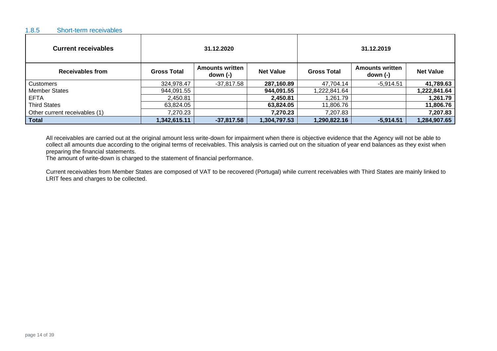#### 1.8.5 Short-term receivables

| <b>Current receivables</b>    | 31.12.2020         |                                     |                  | 31.12.2019         |                                     |                  |
|-------------------------------|--------------------|-------------------------------------|------------------|--------------------|-------------------------------------|------------------|
| Receivables from              | <b>Gross Total</b> | <b>Amounts written</b><br>$down(-)$ | <b>Net Value</b> | <b>Gross Total</b> | <b>Amounts written</b><br>$down(-)$ | <b>Net Value</b> |
| Customers                     | 324,978.47         | -37,817.58                          | 287,160.89       | 47,704.14          | $-5.914.51$                         | 41,789.63        |
| <b>Member States</b>          | 944,091.55         |                                     | 944,091.55       | 1,222,841.64       |                                     | 1,222,841.64     |
| <b>EFTA</b>                   | 2,450.81           |                                     | 2,450.81         | ,261.79            |                                     | 1,261.79         |
| <b>Third States</b>           | 63,824.05          |                                     | 63,824.05        | 11,806.76          |                                     | 11,806.76        |
| Other current receivables (1) | 7,270.23           |                                     | 7,270.23         | 7,207.83           |                                     | 7,207.83         |
| <b>Total</b>                  | 1,342,615.11       | $-37,817.58$                        | 1,304,797.53     | 1,290,822.16       | $-5,914.51$                         | 1,284,907.65     |

All receivables are carried out at the original amount less write-down for impairment when there is objective evidence that the Agency will not be able to collect all amounts due according to the original terms of receivables. This analysis is carried out on the situation of year end balances as they exist when preparing the financial statements.

The amount of write-down is charged to the statement of financial performance.

<span id="page-15-0"></span>Current receivables from Member States are composed of VAT to be recovered (Portugal) while current receivables with Third States are mainly linked to LRIT fees and charges to be collected.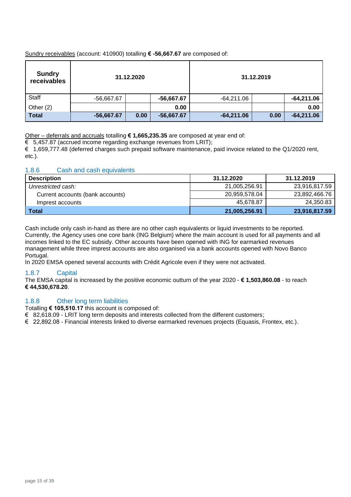#### Sundry receivables (account: 410900) totalling **€ -56,667.67** are composed of:

| <b>Sundry</b><br>receivables | 31.12.2020   |      | 31.12.2019   |              |      |              |
|------------------------------|--------------|------|--------------|--------------|------|--------------|
| Staff                        | -56,667.67   |      | $-56,667.67$ | -64,211.06   |      | $-64,211.06$ |
| Other $(2)$                  |              |      | 0.00         |              |      | 0.00         |
| <b>Total</b>                 | $-56,667.67$ | 0.00 | $-56,667.67$ | $-64,211.06$ | 0.00 | $-64,211.06$ |

Other – deferrals and accruals totalling **€ 1,665,235.35** are composed at year end of:

 $\epsilon$  5.457.87 (accrued income regarding exchange revenues from LRIT):

€ 1,659,777.48 (deferred charges such prepaid software maintenance, paid invoice related to the Q1/2020 rent, etc.).

#### <span id="page-16-0"></span>1.8.6 Cash and cash equivalents

| <b>Description</b>               | 31.12.2020    | 31.12.2019    |
|----------------------------------|---------------|---------------|
| Unrestricted cash:               | 21,005,256.91 | 23,916,817.59 |
| Current accounts (bank accounts) | 20,959,578.04 | 23,892,466.76 |
| Imprest accounts                 | 45.678.87     | 24,350.83     |
| <b>Total</b>                     | 21,005,256.91 | 23,916,817.59 |

Cash include only cash in-hand as there are no other cash equivalents or liquid investments to be reported. Currently, the Agency uses one core bank (ING Belgium) where the main account is used for all payments and all incomes linked to the EC subsidy. Other accounts have been opened with ING for earmarked revenues management while three imprest accounts are also organised via a bank accounts opened with Novo Banco Portugal.

In 2020 EMSA opened several accounts with Crédit Agricole even if they were not activated.

#### <span id="page-16-1"></span>1.8.7 Capital

The EMSA capital is increased by the positive economic outturn of the year 2020 - **€ 1,503,860.08** - to reach **€ 44,530,678.20**.

#### <span id="page-16-2"></span>1.8.8 Other long term liabilities

Totalling **€ 105,510.17** this account is composed of:

- $\epsilon$  82,618.09 LRIT long term deposits and interests collected from the different customers;
- € 22,892.08 Financial interests linked to diverse earmarked revenues projects (Equasis, Frontex, etc.).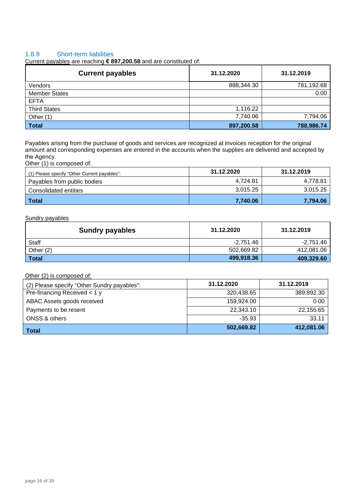#### <span id="page-17-0"></span>1.8.9 Short-term liabilities

Current payables are reaching **€ 897,200.58** and are constituted of:

| <b>Current payables</b> | 31.12.2020 | 31.12.2019 |
|-------------------------|------------|------------|
| Vendors                 | 888,344.30 | 781,192.68 |
| <b>Member States</b>    |            | 0.00       |
| <b>EFTA</b>             |            |            |
| <b>Third States</b>     | 1,116.22   |            |
| Other (1)               | 7,740.06   | 7,794.06   |
| Total                   | 897,200.58 | 788,986.74 |

Payables arising from the purchase of goods and services are recognized at invoices reception for the original amount and corresponding expenses are entered in the accounts when the supplies are delivered and accepted by the Agency.

Other (1) is composed of:

| (1) Please specify "Other Current payables": | 31.12.2020 | 31.12.2019 |
|----------------------------------------------|------------|------------|
| Payables from public bodies                  | 4.724.81   | 4,778.81   |
| Consolidated entities                        | 3.015.25   | 3,015.25   |
| <b>Total</b>                                 | 7.740.06   | 7,794.06   |

#### Sundry payables

| <b>Sundry payables</b> | 31.12.2020  | 31.12.2019 |
|------------------------|-------------|------------|
| <b>Staff</b>           | $-2,751.46$ | -2,751.46  |
| Other $(2)$            | 502,669.82  | 412,081.06 |
| <b>Total</b>           | 499,918.36  | 409,329.60 |

#### Other (2) is composed of:

| (2) Please specify "Other Sundry payables": | 31.12.2020 | 31.12.2019 |
|---------------------------------------------|------------|------------|
| Pre-financing Received < 1 y                | 320,438.65 | 389,892.30 |
| ABAC Assets goods received                  | 159,924.00 | 0.00       |
| Payments to be resent                       | 22,343.10  | 22,155.65  |
| ONSS & others                               | $-35.93$   | 33.11      |
| Total                                       | 502,669.82 | 412,081.06 |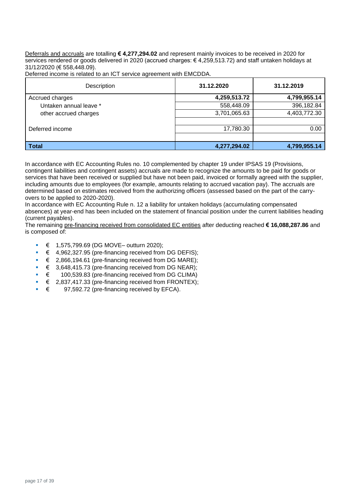Deferrals and accruals are totalling **€ 4,277,294.02** and represent mainly invoices to be received in 2020 for services rendered or goods delivered in 2020 (accrued charges: € 4,259,513.72) and staff untaken holidays at 31/12/2020 (€ 558,448.09).

Deferred income is related to an ICT service agreement with EMCDDA.

| Description            | 31.12.2020   | 31.12.2019   |
|------------------------|--------------|--------------|
| Accrued charges        | 4,259,513.72 | 4,799,955.14 |
| Untaken annual leave * | 558,448.09   | 396,182.84   |
| other accrued charges  | 3,701,065.63 | 4,403,772.30 |
|                        |              |              |
| Deferred income        | 17,780.30    | 0.00         |
|                        |              |              |
| <b>Total</b>           | 4,277,294.02 | 4,799,955.14 |

In accordance with EC Accounting Rules no. 10 complemented by chapter 19 under IPSAS 19 (Provisions, contingent liabilities and contingent assets) accruals are made to recognize the amounts to be paid for goods or services that have been received or supplied but have not been paid, invoiced or formally agreed with the supplier, including amounts due to employees (for example, amounts relating to accrued vacation pay). The accruals are determined based on estimates received from the authorizing officers (assessed based on the part of the carryovers to be applied to 2020-2020).

In accordance with EC Accounting Rule n. 12 a liability for untaken holidays (accumulating compensated absences) at year-end has been included on the statement of financial position under the current liabilities heading (current payables).

The remaining pre-financing received from consolidated EC entities after deducting reached **€ 16,088,287.86** and is composed of:

- € 1,575,799.69 (DG MOVE– outturn 2020);
- € 4,962,327.95 (pre-financing received from DG DEFIS);
- $\in$  2,866,194.61 (pre-financing received from DG MARE);
- $\in$  3,648,415.73 (pre-financing received from DG NEAR);
- $€$  100,539.83 (pre-financing received from DG CLIMA)
- $\in$  2,837,417.33 (pre-financing received from FRONTEX);
- $\epsilon$  97.592.72 (pre-financing received by EFCA).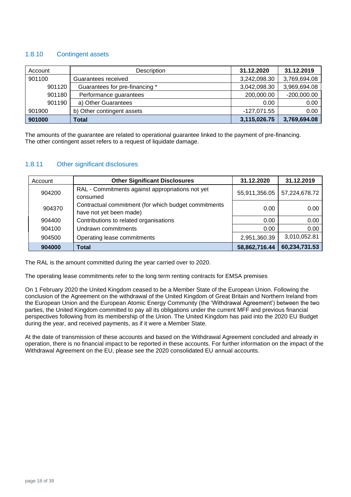#### <span id="page-19-0"></span>1.8.10 Contingent assets

| Account | Description                    | 31.12.2020   | 31.12.2019    |
|---------|--------------------------------|--------------|---------------|
| 901100  | Guarantees received            | 3,242,098.30 | 3,769,694.08  |
| 901120  | Guarantees for pre-financing * | 3,042,098.30 | 3,969,694.08  |
| 901180  | Performance guarantees         | 200,000.00   | $-200,000.00$ |
| 901190  | a) Other Guarantees            | 0.00         | 0.00          |
| 901900  | b) Other contingent assets     | -127,071.55  | 0.00          |
| 901000  | Total                          | 3,115,026.75 | 3,769,694.08  |

The amounts of the guarantee are related to operational guarantee linked to the payment of pre-financing. The other contingent asset refers to a request of liquidate damage.

#### <span id="page-19-1"></span>1.8.11 Other significant disclosures

| Account | <b>Other Significant Disclosures</b>                                            | 31.12.2020    | 31.12.2019    |
|---------|---------------------------------------------------------------------------------|---------------|---------------|
| 904200  | RAL - Commitments against appropriations not yet<br>consumed                    | 55,911,356.05 | 57,224,678.72 |
| 904370  | Contractual commitment (for which budget commitments<br>have not yet been made) | 0.00          | 0.00          |
| 904400  | Contributions to related organisations                                          | 0.00          | 0.00          |
| 904100  | Undrawn commitments                                                             | 0.00          | 0.00          |
| 904500  | Operating lease commitments                                                     | 2,951,360.39  | 3,010,052.81  |
| 904000  | <b>Total</b>                                                                    | 58,862,716.44 | 60,234,731.53 |

The RAL is the amount committed during the year carried over to 2020.

The operating lease commitments refer to the long term renting contracts for EMSA premises

On 1 February 2020 the United Kingdom ceased to be a Member State of the European Union. Following the conclusion of the Agreement on the withdrawal of the United Kingdom of Great Britain and Northern Ireland from the European Union and the European Atomic Energy Community (the 'Withdrawal Agreement') between the two parties, the United Kingdom committed to pay all its obligations under the current MFF and previous financial perspectives following from its membership of the Union. The United Kingdom has paid into the 2020 EU Budget during the year, and received payments, as if it were a Member State.

At the date of transmission of these accounts and based on the Withdrawal Agreement concluded and already in operation, there is no financial impact to be reported in these accounts. For further information on the impact of the Withdrawal Agreement on the EU, please see the 2020 consolidated EU annual accounts.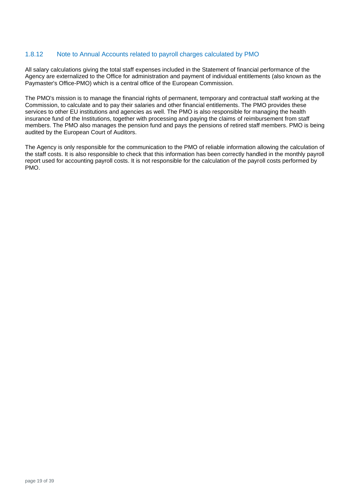#### <span id="page-20-0"></span>1.8.12 Note to Annual Accounts related to payroll charges calculated by PMO

All salary calculations giving the total staff expenses included in the Statement of financial performance of the Agency are externalized to the Office for administration and payment of individual entitlements (also known as the Paymaster's Office-PMO) which is a central office of the [European Commission.](http://en.wikipedia.org/wiki/European_Commission)

The PMO's mission is to manage the financial rights of permanent, temporary and contractual staff working at the Commission, to calculate and to pay their salaries and other financial entitlements. The PMO provides these services to other EU institutions and agencies as well. The PMO is also responsible for managing the health insurance fund of the Institutions, together with processing and paying the claims of reimbursement from staff members. The PMO also manages the pension fund and pays the pensions of retired staff members. PMO is being audited by the European Court of Auditors.

The Agency is only responsible for the communication to the PMO of reliable information allowing the calculation of the staff costs. It is also responsible to check that this information has been correctly handled in the monthly payroll report used for accounting payroll costs. It is not responsible for the calculation of the payroll costs performed by PMO.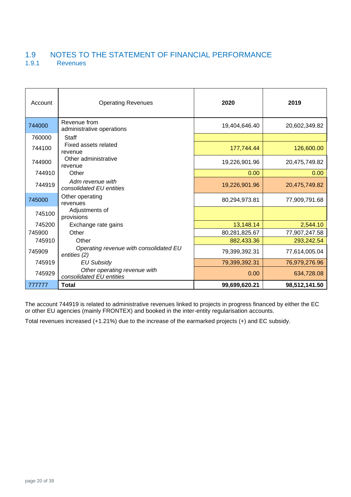### <span id="page-21-1"></span><span id="page-21-0"></span>1.9 NOTES TO THE STATEMENT OF FINANCIAL PERFORMANCE 1.9.1 Revenues

| Account | <b>Operating Revenues</b>                                | 2020          | 2019          |
|---------|----------------------------------------------------------|---------------|---------------|
| 744000  | Revenue from<br>administrative operations                | 19,404,646.40 | 20,602,349.82 |
| 760000  | <b>Staff</b>                                             |               |               |
| 744100  | Fixed assets related<br>revenue                          | 177,744.44    | 126,600.00    |
| 744900  | Other administrative<br>revenue                          | 19,226,901.96 | 20,475,749.82 |
| 744910  | Other                                                    | 0.00          | 0.00          |
| 744919  | Adm revenue with<br>consolidated EU entities             | 19,226,901.96 | 20,475,749.82 |
| 745000  | Other operating<br>revenues                              | 80,294,973.81 | 77,909,791.68 |
| 745100  | Adjustments of<br>provisions                             |               |               |
| 745200  | Exchange rate gains                                      | 13,148.14     | 2,544.10      |
| 745900  | Other                                                    | 80,281,825.67 | 77,907,247.58 |
| 745910  | Other                                                    | 882,433.36    | 293,242.54    |
| 745909  | Operating revenue with consolidated EU<br>entities (2)   | 79,399,392.31 | 77,614,005.04 |
| 745919  | <b>EU Subsidy</b>                                        | 79,399,392.31 | 76,979,276.96 |
| 745929  | Other operating revenue with<br>consolidated EU entities | 0.00          | 634,728.08    |
| 777777  | <b>Total</b>                                             | 99,699,620.21 | 98,512,141.50 |

The account 744919 is related to administrative revenues linked to projects in progress financed by either the EC or other EU agencies (mainly FRONTEX) and booked in the inter-entity regularisation accounts.

Total revenues increased (+1.21%) due to the increase of the earmarked projects (+) and EC subsidy.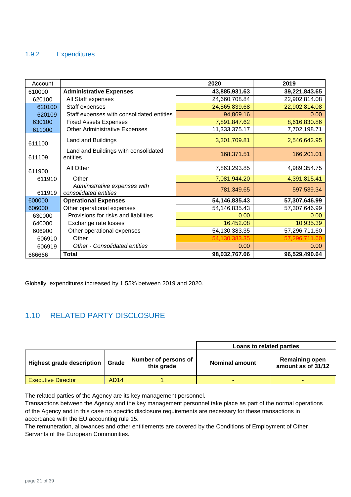#### <span id="page-22-0"></span>1.9.2 Expenditures

| Account |                                                       | 2020             | 2019          |
|---------|-------------------------------------------------------|------------------|---------------|
| 610000  | <b>Administrative Expenses</b>                        | 43,885,931.63    | 39,221,843.65 |
| 620100  | All Staff expenses                                    | 24,660,708.84    | 22,902,814.08 |
| 620100  | Staff expenses                                        | 24,565,839.68    | 22,902,814.08 |
| 620109  | Staff expenses with consolidated entities             | 94,869.16        | 0.00          |
| 630100  | <b>Fixed Assets Expenses</b>                          | 7,891,847.62     | 8,616,830.86  |
| 611000  | <b>Other Administrative Expenses</b>                  | 11,333,375.17    | 7,702,198.71  |
| 611100  | Land and Buildings                                    | 3,301,709.81     | 2,546,642.95  |
| 611109  | Land and Buildings with consolidated<br>entities      | 168,371.51       | 166,201.01    |
| 611900  | All Other                                             | 7,863,293.85     | 4,989,354.75  |
| 611910  | Other                                                 | 7,081,944.20     | 4,391,815.41  |
| 611919  | Administrative expenses with<br>consolidated entities | 781,349.65       | 597,539.34    |
| 600000  | <b>Operational Expenses</b>                           | 54, 146, 835. 43 | 57,307,646.99 |
| 606000  | Other operational expenses                            | 54,146,835.43    | 57,307,646.99 |
| 630000  | Provisions for risks and liabilities                  | 0.00             | 0.00          |
| 640000  | Exchange rate losses                                  | 16,452.08        | 10,935.39     |
| 606900  | Other operational expenses                            | 54,130,383.35    | 57,296,711.60 |
| 606910  | Other                                                 | 54,130,383.35    | 57,296,711.60 |
| 606919  | Other - Consolidated entities                         | 0.00             | 0.00          |
| 666666  | Total                                                 | 98,032,767.06    | 96,529,490.64 |

Globally, expenditures increased by 1.55% between 2019 and 2020.

# <span id="page-22-1"></span>1.10 RELATED PARTY DISCLOSURE

|                                  |             |                                    | Loans to related parties |                                             |
|----------------------------------|-------------|------------------------------------|--------------------------|---------------------------------------------|
| <b>Highest grade description</b> | Grade       | Number of persons of<br>this grade | <b>Nominal amount</b>    | <b>Remaining open</b><br>amount as of 31/12 |
| <b>Executive Director</b>        | <b>AD14</b> |                                    |                          | -                                           |

The related parties of the Agency are its key management personnel.

Transactions between the Agency and the key management personnel take place as part of the normal operations of the Agency and in this case no specific disclosure requirements are necessary for these transactions in accordance with the EU accounting rule 15.

The remuneration, allowances and other entitlements are covered by the Conditions of Employment of Other Servants of the European Communities.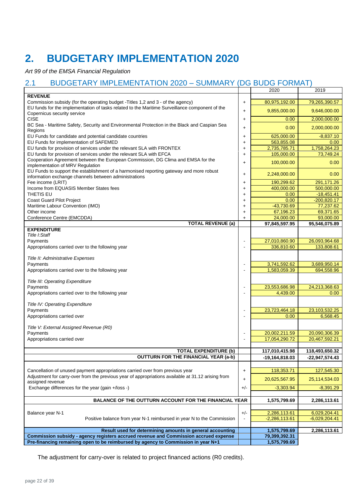# <span id="page-23-0"></span>**2. BUDGETARY IMPLEMENTATION 2020**

### *Art 99 of the EMSA Financial Regulation*

# <span id="page-23-1"></span>2.1 BUDGETARY IMPLEMENTATION 2020 – SUMMARY (DG BUDG FORMAT)

|                                                                                                                                                  |                      | 2020             | 2019            |
|--------------------------------------------------------------------------------------------------------------------------------------------------|----------------------|------------------|-----------------|
| <b>REVENUE</b>                                                                                                                                   |                      |                  |                 |
| Commission subsidy (for the operating budget - Titles 1,2 and 3 - of the agency)                                                                 | $\ddot{}$            | 80,975,192.00    | 79,265,390.57   |
| EU funds for the implementation of tasks related to the Maritime Surveillance component of the<br>Copernicus security service                    | $\ddot{}$            | 9,855,000.00     | 9,646,000.00    |
| <b>CISE</b>                                                                                                                                      | $\ddot{}$            | 0.00             | 2,000,000.00    |
| BC Sea - Maritime Safety, Security and Environmental Protection in the Black and Caspian Sea<br>Regions                                          | $\ddot{}$            | 0.00             | 2,000,000.00    |
| EU Funds for candidate and potential candidate countries                                                                                         | $\ddot{}$            | 625,000.00       | $-8,837.10$     |
| EU Funds for implementation of SAFEMED                                                                                                           | $\ddot{}$            | 563,855.08       | 0.00            |
| EU funds for provision of services under the relevant SLA with FRONTEX                                                                           | $\ddot{}$            | 2,735,785.71     | 1,758,264.23    |
| EU funds for provision of services under the relevant SLA with EFCA                                                                              | $\ddot{}$            | 105,000.00       | 73,749.24       |
| Cooperation Agreement between the European Commission, DG Clima and EMSA for the<br>implementation of MRV Regulation                             | $\ddot{}$            | 100,000.00       | 0.00            |
| EU Funds to support the establishment of a harmonised reporting gateway and more robust<br>information exchange channels between administrations | $\ddot{}$            | 2,248,000.00     | 0.00            |
| Fee income (LRIT)                                                                                                                                | $\ddot{}$            | 190,299.62       | 291,171.26      |
| Income from EQUASIS Member States fees                                                                                                           | $\ddagger$           | 400,000.00       | 500,000.00      |
| THETIS EU                                                                                                                                        | $\ddot{}$            | 0.00             | $-18,451.41$    |
| <b>Coast Guard Pilot Project</b>                                                                                                                 | $\ddot{}$            | 0.00             | $-200,820.17$   |
| Maritime Labour Convention (IMO)                                                                                                                 | $\ddot{}$            | $-43,730.69$     | 77,237.62       |
| Other income                                                                                                                                     | $\ddot{}$            | 67,196.23        | 69,371.65       |
| Conference Centre (EMCDDA)                                                                                                                       | $\ddot{}$            | 24,000.00        | 93,000.00       |
| <b>TOTAL REVENUE (a)</b>                                                                                                                         |                      | 97,845,597.95    | 95,546,075.89   |
| <b>EXPENDITURE</b>                                                                                                                               |                      |                  |                 |
| Title I:Staff                                                                                                                                    |                      |                  |                 |
| Payments                                                                                                                                         |                      | 27,010,860.90    | 26,093,964.68   |
| Appropriations carried over to the following year                                                                                                |                      | 336,810.60       | 133,808.61      |
| Title II: Administrative Expenses                                                                                                                |                      |                  |                 |
| Payments                                                                                                                                         |                      | 3,741,592.62     | 3,689,950.14    |
| Appropriations carried over to the following year                                                                                                |                      | 1,583,059.39     | 694,558.96      |
| Title III: Operating Expenditure                                                                                                                 |                      |                  |                 |
| Payments                                                                                                                                         |                      | 23,553,686.98    | 24,213,368.63   |
| Appropriations carried over to the following year                                                                                                |                      | 4,439.00         | 0.00            |
| Title IV: Operating Expenditure<br>Payments                                                                                                      |                      | 23,723,464.18    | 23,103,532.25   |
| Appropriations carried over                                                                                                                      |                      | 0.00             | 6,568.45        |
| Title V: External Assigned Revenue (R0)                                                                                                          |                      |                  |                 |
| Payments                                                                                                                                         |                      | 20,002,211.59    | 20,090,306.39   |
| Appropriations carried over                                                                                                                      |                      | 17,054,290.72    | 20,467,592.21   |
|                                                                                                                                                  |                      |                  |                 |
| <b>TOTAL EXPENDITURE (b)</b>                                                                                                                     |                      | 117,010,415.98   | 118,493,650.32  |
| <b>OUTTURN FOR THE FINANCIAL YEAR (a-b)</b>                                                                                                      |                      | $-19,164,818.03$ | -22,947,574.43  |
|                                                                                                                                                  |                      |                  |                 |
| Cancellation of unused payment appropriations carried over from previous year                                                                    | $\ddot{}$            | 118,353.71       | 127,545.30      |
| Adjustment for carry-over from the previous year of appropriations available at 31.12 arising from<br>assigned revenue                           | $\ddot{}$            | 20,625,567.95    | 25,114,534.03   |
| Exchange differences for the year (gain +/loss -)                                                                                                | $+/-$                | $-3,303.94$      | $-8,391.29$     |
| BALANCE OF THE OUTTURN ACCOUNT FOR THE FINANCIAL YEAR                                                                                            |                      | 1,575,799.69     | 2,286,113.61    |
|                                                                                                                                                  |                      |                  |                 |
| Balance year N-1                                                                                                                                 | $+/-$                | 2,286,113.61     | 6,029,204.41    |
| Positive balance from year N-1 reimbursed in year N to the Commission                                                                            | $\ddot{\phantom{a}}$ | $-2,286,113.61$  | $-6,029,204.41$ |
|                                                                                                                                                  |                      |                  |                 |
| Result used for determining amounts in general accounting                                                                                        |                      | 1,575,799.69     | 2,286,113.61    |
| Commission subsidy - agency registers accrued revenue and Commission accrued expense                                                             |                      | 79,399,392.31    |                 |
| Pre-financing remaining open to be reimbursed by agency to Commission in year N+1                                                                |                      | 1,575,799.69     |                 |

The adjustment for carry-over is related to project financed actions (R0 credits).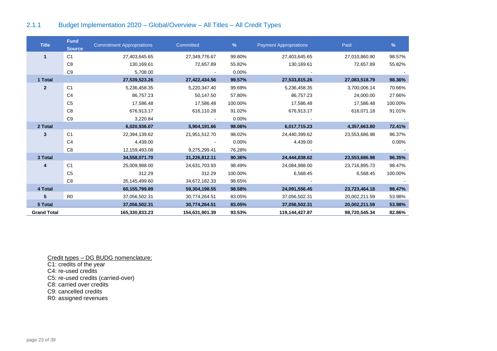#### 2.1.1 Budget Implementation 2020 – Global/Overview – All Titles – All Credit Types

| <b>Title</b>       | <b>Fund</b><br><b>Source</b> | <b>Commitment Appropriations</b> | Committed      | %       | <b>Payment Appropriations</b> | Paid          | $\%$    |
|--------------------|------------------------------|----------------------------------|----------------|---------|-------------------------------|---------------|---------|
| 1                  | C <sub>1</sub>               | 27,403,645.65                    | 27,349,776.67  | 99.80%  | 27,403,645.65                 | 27,010,860.90 | 98.57%  |
|                    | C <sub>8</sub>               | 130,169.61                       | 72,657.89      | 55.82%  | 130,169.61                    | 72,657.89     | 55.82%  |
|                    | C <sub>9</sub>               | 5,708.00                         |                | 0.00%   |                               |               |         |
| 1 Total            |                              | 27,539,523.26                    | 27,422,434.56  | 99.57%  | 27,533,815.26                 | 27,083,518.79 | 98.36%  |
| $\overline{2}$     | C <sub>1</sub>               | 5,236,458.35                     | 5,220,347.40   | 99.69%  | 5,236,458.35                  | 3,700,006.14  | 70.66%  |
|                    | C <sub>4</sub>               | 86,757.23                        | 50,147.50      | 57.80%  | 86,757.23                     | 24,000.00     | 27.66%  |
|                    | C <sub>5</sub>               | 17,586.48                        | 17,586.48      | 100.00% | 17,586.48                     | 17,586.48     | 100.00% |
|                    | C <sub>8</sub>               | 676,913.17                       | 616,110.28     | 91.02%  | 676,913.17                    | 616,071.18    | 91.01%  |
|                    | C <sub>9</sub>               | 3,220.84                         |                | 0.00%   |                               |               |         |
| 2 Total            |                              | 6,020,936.07                     | 5,904,191.66   | 98.06%  | 6,017,715.23                  | 4,357,663.80  | 72.41%  |
| 3                  | C <sub>1</sub>               | 22,394,139.62                    | 21,951,512.70  | 98.02%  | 24,440,399.62                 | 23,553,686.98 | 96.37%  |
|                    | C <sub>4</sub>               | 4,439.00                         |                | 0.00%   | 4,439.00                      |               | 0.00%   |
|                    | C <sub>8</sub>               | 12,159,493.08                    | 9,275,299.41   | 76.28%  |                               |               |         |
| 3 Total            |                              | 34,558,071.70                    | 31,226,812.11  | 90.36%  | 24,444,838.62                 | 23,553,686.98 | 96.35%  |
| 4                  | C <sub>1</sub>               | 25,009,988.00                    | 24,631,703.93  | 98.49%  | 24,084,988.00                 | 23,716,895.73 | 98.47%  |
|                    | C <sub>5</sub>               | 312.29                           | 312.29         | 100.00% | 6,568.45                      | 6,568.45      | 100.00% |
|                    | C <sub>8</sub>               | 35,145,499.60                    | 34,672,182.33  | 98.65%  |                               |               |         |
| 4 Total            |                              | 60,155,799.89                    | 59,304,198.55  | 98.58%  | 24,091,556.45                 | 23,723,464.18 | 98.47%  |
| 5                  | R <sub>0</sub>               | 37,056,502.31                    | 30,774,264.51  | 83.05%  | 37,056,502.31                 | 20,002,211.59 | 53.98%  |
| 5 Total            |                              | 37,056,502.31                    | 30,774,264.51  | 83.05%  | 37,056,502.31                 | 20,002,211.59 | 53.98%  |
| <b>Grand Total</b> |                              | 165,330,833.23                   | 154,631,901.39 | 93.53%  | 119,144,427.87                | 98.720.545.34 | 82.86%  |

<span id="page-24-0"></span>Credit types – DG BUDG nomenclature: C1: credits of the year C4: re-used credits C5: re-used credits (carried-over) C8: carried over credits C9: cancelled credits R0: assigned revenues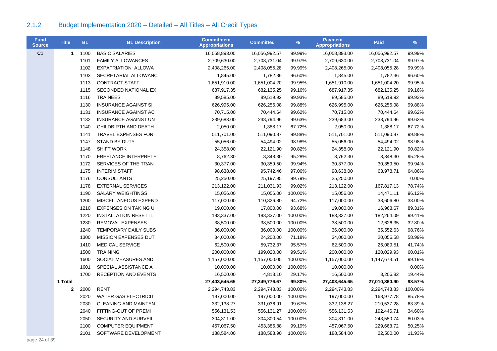# 2.1.2 Budget Implementation 2020 – Detailed – All Titles – All Credit Types

<span id="page-25-0"></span>

| <b>Fund</b><br><b>Source</b> | <b>Title</b> | <b>BL</b> | <b>BL Description</b>       | <b>Commitment</b><br><b>Appropriations</b> | <b>Committed</b> | $\frac{9}{6}$ | <b>Payment</b><br><b>Appropriations</b> | Paid          | $\frac{9}{6}$ |
|------------------------------|--------------|-----------|-----------------------------|--------------------------------------------|------------------|---------------|-----------------------------------------|---------------|---------------|
| C <sub>1</sub>               |              | 1 1100    | <b>BASIC SALARIES</b>       | 16,058,893.00                              | 16,056,992.57    | 99.99%        | 16,058,893.00                           | 16,056,992.57 | 99.99%        |
|                              |              | 1101      | <b>FAMILY ALLOWANCES</b>    | 2,709,630.00                               | 2,708,731.04     | 99.97%        | 2,709,630.00                            | 2,708,731.04  | 99.97%        |
|                              |              | 1102      | <b>EXPATRIATION ALLOWA</b>  | 2,408,265.00                               | 2,408,055.28     | 99.99%        | 2,408,265.00                            | 2,408,055.28  | 99.99%        |
|                              |              | 1103      | SECRETARIAL ALLOWANC        | 1,845.00                                   | 1,782.36         | 96.60%        | 1,845.00                                | 1,782.36      | 96.60%        |
|                              |              | 1113      | <b>CONTRACT STAFF</b>       | 1,651,910.00                               | 1,651,004.20     | 99.95%        | 1,651,910.00                            | 1,651,004.20  | 99.95%        |
|                              |              | 1115      | SECONDED NATIONAL EX        | 687,917.35                                 | 682,135.25       | 99.16%        | 687,917.35                              | 682,135.25    | 99.16%        |
|                              |              | 1116      | <b>TRAINEES</b>             | 89,585.00                                  | 89,519.92        | 99.93%        | 89,585.00                               | 89,519.92     | 99.93%        |
|                              |              | 1130      | <b>INSURANCE AGAINST SI</b> | 626,995.00                                 | 626,256.08       | 99.88%        | 626,995.00                              | 626,256.08    | 99.88%        |
|                              |              | 1131      | <b>INSURANCE AGAINST AC</b> | 70,715.00                                  | 70,444.64        | 99.62%        | 70,715.00                               | 70,444.64     | 99.62%        |
|                              |              | 1132      | INSURANCE AGAINST UN        | 239,683.00                                 | 238,794.96       | 99.63%        | 239,683.00                              | 238,794.96    | 99.63%        |
|                              |              | 1140      | CHILDBIRTH AND DEATH        | 2,050.00                                   | 1,388.17         | 67.72%        | 2,050.00                                | 1,388.17      | 67.72%        |
|                              |              | 1141      | <b>TRAVEL EXPENSES FOR</b>  | 511,701.00                                 | 511,090.87       | 99.88%        | 511,701.00                              | 511,090.87    | 99.88%        |
|                              |              | 1147      | <b>STAND BY DUTY</b>        | 55,056.00                                  | 54,494.02        | 98.98%        | 55,056.00                               | 54,494.02     | 98.98%        |
|                              |              | 1148      | <b>SHIFT WORK</b>           | 24,358.00                                  | 22,121.90        | 90.82%        | 24,358.00                               | 22,121.90     | 90.82%        |
|                              |              | 1170      | <b>FREELANCE INTERPRETE</b> | 8,762.30                                   | 8,348.30         | 95.28%        | 8,762.30                                | 8,348.30      | 95.28%        |
|                              |              | 1172      | SERVICES OF THE TRAN        | 30,377.00                                  | 30,359.50        | 99.94%        | 30,377.00                               | 30,359.50     | 99.94%        |
|                              |              | 1175      | <b>INTERIM STAFF</b>        | 98,638.00                                  | 95,742.46        | 97.06%        | 98,638.00                               | 63,978.71     | 64.86%        |
|                              |              | 1176      | <b>CONSULTANTS</b>          | 25,250.00                                  | 25,197.95        | 99.79%        | 25,250.00                               |               | 0.00%         |
|                              |              | 1178      | <b>EXTERNAL SERVICES</b>    | 213,122.00                                 | 211,031.93       | 99.02%        | 213,122.00                              | 167,817.13    | 78.74%        |
|                              |              | 1190      | <b>SALARY WEIGHTINGS</b>    | 15,056.00                                  | 15,056.00        | 100.00%       | 15,056.00                               | 14,471.11     | 96.12%        |
|                              |              | 1200      | MISCELLANEOUS EXPEND        | 117,000.00                                 | 110,826.80       | 94.72%        | 117,000.00                              | 38,606.80     | 33.00%        |
|                              |              | 1210      | <b>EXPENSES ON TAKING U</b> | 19,000.00                                  | 17,800.00        | 93.68%        | 19,000.00                               | 16,968.67     | 89.31%        |
|                              |              | 1220      | <b>INSTALLATION RESETTL</b> | 183,337.00                                 | 183,337.00       | 100.00%       | 183,337.00                              | 182,264.09    | 99.41%        |
|                              |              | 1230      | <b>REMOVAL EXPENSES</b>     | 38,500.00                                  | 38,500.00        | 100.00%       | 38,500.00                               | 12,626.35     | 32.80%        |
|                              |              | 1240      | TEMPORARY DAILY SUBS        | 36,000.00                                  | 36,000.00        | 100.00%       | 36,000.00                               | 35,552.63     | 98.76%        |
|                              |              | 1300      | MISSION EXPENSES DUT        | 34,000.00                                  | 24,200.00        | 71.18%        | 34,000.00                               | 20,056.58     | 58.99%        |
|                              |              | 1410      | MEDICAL SERVICE             | 62,500.00                                  | 59,732.37        | 95.57%        | 62,500.00                               | 26,089.51     | 41.74%        |
|                              |              | 1500      | <b>TRAINING</b>             | 200,000.00                                 | 199,020.00       | 99.51%        | 200,000.00                              | 120,029.93    | 60.01%        |
|                              |              | 1600      | SOCIAL MEASURES AND         | 1,157,000.00                               | 1,157,000.00     | 100.00%       | 1,157,000.00                            | 1,147,673.51  | 99.19%        |
|                              |              | 1601      | SPECIAL ASSISTANCE A        | 10,000.00                                  | 10,000.00        | 100.00%       | 10,000.00                               |               | 0.00%         |
|                              |              | 1700      | <b>RECEPTION AND EVENTS</b> | 16,500.00                                  | 4,813.10         | 29.17%        | 16,500.00                               | 3,206.82      | 19.44%        |
|                              | 1 Total      |           |                             | 27,403,645.65                              | 27,349,776.67    | 99.80%        | 27,403,645.65                           | 27,010,860.90 | 98.57%        |
|                              | $\mathbf{2}$ | 2000      | <b>RENT</b>                 | 2,294,743.83                               | 2,294,743.83     | 100.00%       | 2,294,743.83                            | 2,294,743.83  | 100.00%       |
|                              |              | 2020      | <b>WATER GAS ELECTRICIT</b> | 197,000.00                                 | 197,000.00       | 100.00%       | 197,000.00                              | 168,977.78    | 85.78%        |
|                              |              | 2030      | <b>CLEANING AND MAINTEN</b> | 332,138.27                                 | 331,036.91       | 99.67%        | 332,138.27                              | 210,537.28    | 63.39%        |
|                              |              | 2040      | FITTING-OUT OF PREMI        | 556,131.53                                 | 556,131.27       | 100.00%       | 556,131.53                              | 192,446.71    | 34.60%        |
|                              |              | 2050      | SECURITY AND SURVEIL        | 304,311.00                                 | 304,300.54       | 100.00%       | 304,311.00                              | 243,550.74    | 80.03%        |
|                              |              | 2100      | <b>COMPUTER EQUIPMENT</b>   | 457,067.50                                 | 453,386.88       | 99.19%        | 457,067.50                              | 229,663.72    | 50.25%        |
|                              |              | 2101      | SOFTWARE DEVELOPMENT        | 188,584.00                                 | 188,583.90       | 100.00%       | 188,584.00                              | 22,500.00     | 11.93%        |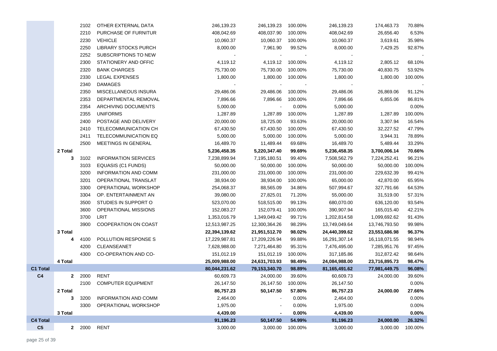|                |                | 2102   | OTHER EXTERNAL DATA         | 246,139.23    | 246,139.23     | 100.00% | 246,139.23      | 174,463.73    | 70.88%  |
|----------------|----------------|--------|-----------------------------|---------------|----------------|---------|-----------------|---------------|---------|
|                |                | 2210   | PURCHASE OF FURNITUR        | 408,042.69    | 408,037.90     | 100.00% | 408,042.69      | 26,656.40     | 6.53%   |
|                |                | 2230   | <b>VEHICLE</b>              | 10,060.37     | 10,060.37      | 100.00% | 10,060.37       | 3,619.61      | 35.98%  |
|                |                | 2250   | <b>LIBRARY STOCKS PURCH</b> | 8,000.00      | 7,961.90       | 99.52%  | 8,000.00        | 7,429.25      | 92.87%  |
|                |                | 2252   | SUBSCRIPTIONS TO NEW        |               |                |         |                 |               |         |
|                |                | 2300   | STATIONERY AND OFFIC        | 4,119.12      | 4,119.12       | 100.00% | 4,119.12        | 2,805.12      | 68.10%  |
|                |                | 2320   | <b>BANK CHARGES</b>         | 75,730.00     | 75,730.00      | 100.00% | 75,730.00       | 40,830.75     | 53.92%  |
|                |                | 2330   | <b>LEGAL EXPENSES</b>       | 1,800.00      | 1,800.00       | 100.00% | 1,800.00        | 1,800.00      | 100.00% |
|                |                | 2340   | <b>DAMAGES</b>              |               | $\sim$         |         |                 |               |         |
|                |                | 2350   | MISCELLANEOUS INSURA        | 29,486.06     | 29,486.06      | 100.00% | 29,486.06       | 26,869.06     | 91.12%  |
|                |                | 2353   | DEPARTMENTAL REMOVAL        | 7,896.66      | 7,896.66       | 100.00% | 7,896.66        | 6,855.06      | 86.81%  |
|                |                | 2354   | <b>ARCHIVING DOCUMENTS</b>  | 5,000.00      | $\blacksquare$ | 0.00%   | 5,000.00        |               | 0.00%   |
|                |                | 2355   | <b>UNIFORMS</b>             | 1,287.89      | 1,287.89       | 100.00% | 1,287.89        | 1,287.89      | 100.00% |
|                |                | 2400   | POSTAGE AND DELIVERY        | 20,000.00     | 18,725.00      | 93.63%  | 20,000.00       | 3,307.94      | 16.54%  |
|                |                | 2410   | TELECOMMUNICATION CH        | 67,430.50     | 67,430.50      | 100.00% | 67,430.50       | 32,227.52     | 47.79%  |
|                |                | 2411   | <b>TELECOMMUNICATION EQ</b> | 5,000.00      | 5,000.00       | 100.00% | 5,000.00        | 3,944.31      | 78.89%  |
|                |                | 2500   | MEETINGS IN GENERAL         | 16,489.70     | 11,489.44      | 69.68%  | 16,489.70       | 5,489.44      | 33.29%  |
|                | 2 Total        |        |                             | 5,236,458.35  | 5,220,347.40   | 99.69%  | 5,236,458.35    | 3,700,006.14  | 70.66%  |
|                | 3              | 3102   | <b>INFORMATION SERVICES</b> | 7,238,899.94  | 7,195,180.51   | 99.40%  | 7,508,562.79    | 7,224,252.41  | 96.21%  |
|                |                | 3103   | EQUASIS (C1 FUNDS)          | 50,000.00     | 50,000.00      | 100.00% | 50,000.00       | 50,000.00     | 100.00% |
|                |                | 3200   | <b>INFORMATION AND COMM</b> | 231,000.00    | 231,000.00     | 100.00% | 231,000.00      | 229,632.39    | 99.41%  |
|                |                | 3201   | OPERATIONAL TRANSLAT        | 38,934.00     | 38,934.00      | 100.00% | 65,000.00       | 42,870.00     | 65.95%  |
|                |                | 3300   | OPERATIONAL WORKSHOP        | 254,068.37    | 88,565.09      | 34.86%  | 507,994.67      | 327,791.66    | 64.53%  |
|                |                | 3304   | OP. ENTERTAINMENT AN        | 39,080.00     | 27,825.01      | 71.20%  | 55,000.00       | 31,519.00     | 57.31%  |
|                |                | 3500   | STUDIES IN SUPPORT O        | 523,070.00    | 518,515.00     | 99.13%  | 680,070.00      | 636,120.00    | 93.54%  |
|                |                | 3600   | OPERATIONAL MISSIONS        | 152,083.27    | 152,079.41     | 100.00% | 390,907.94      | 165,015.40    | 42.21%  |
|                |                | 3700   | LRIT                        | 1,353,016.79  | 1,349,049.42   | 99.71%  | 1,202,814.58    | 1,099,692.62  | 91.43%  |
|                |                | 3900   | <b>COOPERATION ON COAST</b> | 12,513,987.25 | 12,300,364.26  | 98.29%  | 13,749,049.64   | 13,746,793.50 | 99.98%  |
|                | 3 Total        |        |                             | 22,394,139.62 | 21,951,512.70  | 98.02%  | 24,440,399.62   | 23,553,686.98 | 96.37%  |
|                | $\overline{4}$ | 4100   | POLLUTION RESPONSE S        | 17,229,987.81 | 17,209,226.94  | 99.88%  | 16,291,307.14   | 16,118,071.55 | 98.94%  |
|                |                | 4200   | CLEANSEANET                 | 7,628,988.00  | 7,271,464.80   | 95.31%  | 7,476,495.00    | 7,285,951.76  | 97.45%  |
|                |                | 4300   | CO-OPERATION AND CO-        | 151,012.19    | 151,012.19     | 100.00% | 317,185.86      | 312,872.42    | 98.64%  |
|                | 4 Total        |        |                             | 25,009,988.00 | 24,631,703.93  | 98.49%  | 24,084,988.00   | 23,716,895.73 | 98.47%  |
| C1 Total       |                |        |                             | 80,044,231.62 | 79,153,340.70  | 98.89%  | 81, 165, 491.62 | 77,981,449.75 | 96.08%  |
| C <sub>4</sub> | $\mathbf{2}$   | 2000   | <b>RENT</b>                 | 60,609.73     | 24,000.00      | 39.60%  | 60,609.73       | 24,000.00     | 39.60%  |
|                |                | 2100   | <b>COMPUTER EQUIPMENT</b>   | 26,147.50     | 26,147.50      | 100.00% | 26,147.50       |               | 0.00%   |
|                | 2 Total        |        |                             | 86,757.23     | 50,147.50      | 57.80%  | 86,757.23       | 24,000.00     | 27.66%  |
|                | 3              | 3200   | <b>INFORMATION AND COMM</b> | 2,464.00      |                | 0.00%   | 2,464.00        |               | 0.00%   |
|                |                | 3300   | OPERATIONAL WORKSHOP        | 1,975.00      |                | 0.00%   | 1,975.00        |               | 0.00%   |
|                | 3 Total        |        |                             | 4,439.00      | $\blacksquare$ | 0.00%   | 4,439.00        |               | 0.00%   |
| C4 Total       |                |        |                             | 91,196.23     | 50,147.50      | 54.99%  | 91,196.23       | 24,000.00     | 26.32%  |
| C <sub>5</sub> |                | 2 2000 | <b>RENT</b>                 | 3,000.00      | 3,000.00       | 100.00% | 3,000.00        | 3,000.00      | 100.00% |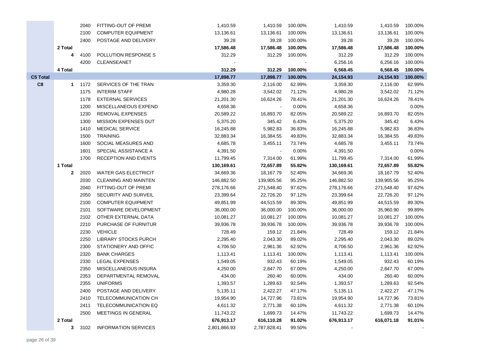|                 |                | 2040 | FITTING-OUT OF PREMI        | 1,410.59     | 1,410.59     | 100.00% | 1,410.59   | 1,410.59   | 100.00% |
|-----------------|----------------|------|-----------------------------|--------------|--------------|---------|------------|------------|---------|
|                 |                | 2100 | <b>COMPUTER EQUIPMENT</b>   | 13,136.61    | 13,136.61    | 100.00% | 13,136.61  | 13,136.61  | 100.00% |
|                 |                | 2400 | POSTAGE AND DELIVERY        | 39.28        | 39.28        | 100.00% | 39.28      | 39.28      | 100.00% |
|                 | 2 Total        |      |                             | 17,586.48    | 17,586.48    | 100.00% | 17,586.48  | 17,586.48  | 100.00% |
|                 | $\overline{4}$ | 4100 | POLLUTION RESPONSE S        | 312.29       | 312.29       | 100.00% | 312.29     | 312.29     | 100.00% |
|                 |                | 4200 | CLEANSEANET                 |              |              |         | 6,256.16   | 6,256.16   | 100.00% |
|                 | 4 Total        |      |                             | 312.29       | 312.29       | 100.00% | 6,568.45   | 6,568.45   | 100.00% |
| <b>C5 Total</b> |                |      |                             | 17,898.77    | 17,898.77    | 100.00% | 24,154.93  | 24,154.93  | 100.00% |
| C8              | 1              | 1172 | SERVICES OF THE TRAN        | 3,359.30     | 2,116.00     | 62.99%  | 3,359.30   | 2,116.00   | 62.99%  |
|                 |                | 1175 | <b>INTERIM STAFF</b>        | 4,980.28     | 3,542.02     | 71.12%  | 4,980.28   | 3,542.02   | 71.12%  |
|                 |                | 1178 | <b>EXTERNAL SERVICES</b>    | 21,201.30    | 16,624.26    | 78.41%  | 21,201.30  | 16,624.26  | 78.41%  |
|                 |                | 1200 | MISCELLANEOUS EXPEND        | 4,658.36     | $\sim$       | 0.00%   | 4,658.36   |            | 0.00%   |
|                 |                | 1230 | REMOVAL EXPENSES            | 20,589.22    | 16,893.70    | 82.05%  | 20,589.22  | 16,893.70  | 82.05%  |
|                 |                | 1300 | MISSION EXPENSES DUT        | 5,375.20     | 345.42       | 6.43%   | 5,375.20   | 345.42     | 6.43%   |
|                 |                | 1410 | <b>MEDICAL SERVICE</b>      | 16,245.88    | 5,982.83     | 36.83%  | 16,245.88  | 5,982.83   | 36.83%  |
|                 |                | 1500 | <b>TRAINING</b>             | 32,883.34    | 16,384.55    | 49.83%  | 32,883.34  | 16,384.55  | 49.83%  |
|                 |                | 1600 | SOCIAL MEASURES AND         | 4,685.78     | 3,455.11     | 73.74%  | 4,685.78   | 3,455.11   | 73.74%  |
|                 |                | 1601 | SPECIAL ASSISTANCE A        | 4,391.50     |              | 0.00%   | 4,391.50   |            | 0.00%   |
|                 |                | 1700 | <b>RECEPTION AND EVENTS</b> | 11,799.45    | 7,314.00     | 61.99%  | 11,799.45  | 7,314.00   | 61.99%  |
|                 | 1 Total        |      |                             | 130,169.61   | 72,657.89    | 55.82%  | 130,169.61 | 72,657.89  | 55.82%  |
|                 | $\mathbf{2}$   | 2020 | <b>WATER GAS ELECTRICIT</b> | 34,669.36    | 18,167.79    | 52.40%  | 34,669.36  | 18,167.79  | 52.40%  |
|                 |                | 2030 | <b>CLEANING AND MAINTEN</b> | 146,882.50   | 139,905.56   | 95.25%  | 146,882.50 | 139,905.56 | 95.25%  |
|                 |                | 2040 | FITTING-OUT OF PREMI        | 278,176.66   | 271,548.40   | 97.62%  | 278,176.66 | 271,548.40 | 97.62%  |
|                 |                | 2050 | SECURITY AND SURVEIL        | 23,399.64    | 22,726.20    | 97.12%  | 23,399.64  | 22,726.20  | 97.12%  |
|                 |                | 2100 | <b>COMPUTER EQUIPMENT</b>   | 49,851.99    | 44,515.59    | 89.30%  | 49,851.99  | 44,515.59  | 89.30%  |
|                 |                | 2101 | SOFTWARE DEVELOPMENT        | 36,000.00    | 36,000.00    | 100.00% | 36,000.00  | 35,960.90  | 99.89%  |
|                 |                | 2102 | OTHER EXTERNAL DATA         | 10,081.27    | 10,081.27    | 100.00% | 10,081.27  | 10,081.27  | 100.00% |
|                 |                | 2210 | PURCHASE OF FURNITUR        | 39,936.78    | 39,936.78    | 100.00% | 39,936.78  | 39,936.78  | 100.00% |
|                 |                | 2230 | <b>VEHICLE</b>              | 728.49       | 159.12       | 21.84%  | 728.49     | 159.12     | 21.84%  |
|                 |                | 2250 | <b>LIBRARY STOCKS PURCH</b> | 2,295.40     | 2,043.30     | 89.02%  | 2,295.40   | 2,043.30   | 89.02%  |
|                 |                | 2300 | STATIONERY AND OFFIC        | 4,706.50     | 2,961.36     | 62.92%  | 4,706.50   | 2,961.36   | 62.92%  |
|                 |                | 2320 | <b>BANK CHARGES</b>         | 1,113.41     | 1,113.41     | 100.00% | 1,113.41   | 1,113.41   | 100.00% |
|                 |                | 2330 | LEGAL EXPENSES              | 1,549.05     | 932.43       | 60.19%  | 1,549.05   | 932.43     | 60.19%  |
|                 |                | 2350 | MISCELLANEOUS INSURA        | 4,250.00     | 2,847.70     | 67.00%  | 4,250.00   | 2,847.70   | 67.00%  |
|                 |                | 2353 | DEPARTMENTAL REMOVAL        | 434.00       | 260.40       | 60.00%  | 434.00     | 260.40     | 60.00%  |
|                 |                | 2355 | <b>UNIFORMS</b>             | 1,393.57     | 1,289.63     | 92.54%  | 1,393.57   | 1,289.63   | 92.54%  |
|                 |                | 2400 | POSTAGE AND DELIVERY        | 5,135.11     | 2,422.27     | 47.17%  | 5,135.11   | 2,422.27   | 47.17%  |
|                 |                | 2410 | TELECOMMUNICATION CH        | 19,954.90    | 14,727.96    | 73.81%  | 19,954.90  | 14,727.96  | 73.81%  |
|                 |                | 2411 | <b>TELECOMMUNICATION EQ</b> | 4,611.32     | 2,771.38     | 60.10%  | 4,611.32   | 2,771.38   | 60.10%  |
|                 |                | 2500 | MEETINGS IN GENERAL         | 11,743.22    | 1,699.73     | 14.47%  | 11,743.22  | 1,699.73   | 14.47%  |
|                 | 2 Total        |      |                             | 676,913.17   | 616,110.28   | 91.02%  | 676,913.17 | 616,071.18 | 91.01%  |
|                 | 3              | 3102 | <b>INFORMATION SERVICES</b> | 2,801,866.93 | 2,787,828.41 | 99.50%  |            |            |         |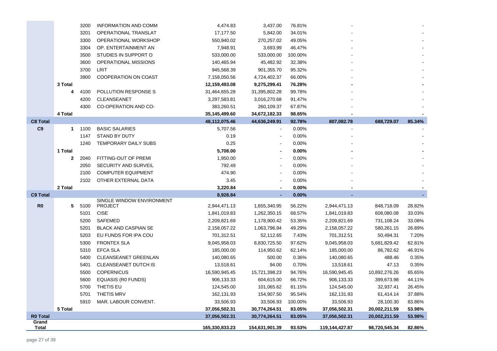|                 |              | 3200 | <b>INFORMATION AND COMM</b>                 | 4,474.83       | 3,437.00       | 76.81%  |                |               |        |
|-----------------|--------------|------|---------------------------------------------|----------------|----------------|---------|----------------|---------------|--------|
|                 |              | 3201 | OPERATIONAL TRANSLAT                        | 17,177.50      | 5,842.00       | 34.01%  |                |               |        |
|                 |              | 3300 | OPERATIONAL WORKSHOP                        | 550,940.02     | 270,257.02     | 49.05%  |                |               |        |
|                 |              | 3304 | OP. ENTERTAINMENT AN                        | 7,948.91       | 3,693.99       | 46.47%  |                |               |        |
|                 |              | 3500 | STUDIES IN SUPPORT O                        | 533,000.00     | 533,000.00     | 100.00% |                |               |        |
|                 |              | 3600 | OPERATIONAL MISSIONS                        | 140,465.94     | 45,482.92      | 32.38%  |                |               |        |
|                 |              | 3700 | LRIT                                        | 945,568.39     | 901,355.70     | 95.32%  |                |               |        |
|                 |              | 3900 | COOPERATION ON COAST                        | 7,158,050.56   | 4,724,402.37   | 66.00%  |                |               |        |
|                 | 3 Total      |      |                                             | 12,159,493.08  | 9,275,299.41   | 76.28%  |                |               |        |
|                 | 4            | 4100 | POLLUTION RESPONSE S                        | 31,464,655.28  | 31,395,802.28  | 99.78%  |                |               |        |
|                 |              | 4200 | <b>CLEANSEANET</b>                          | 3,297,583.81   | 3,016,270.68   | 91.47%  |                |               |        |
|                 |              | 4300 | <b>CO-OPERATION AND CO-</b>                 | 383,260.51     | 260,109.37     | 67.87%  |                |               |        |
|                 | 4 Total      |      |                                             | 35,145,499.60  | 34,672,182.33  | 98.65%  |                |               |        |
| <b>C8 Total</b> |              |      |                                             | 48,112,075.46  | 44,636,249.91  | 92.78%  | 807,082.78     | 688,729.07    | 85.34% |
| C9              | $\mathbf{1}$ | 1100 | <b>BASIC SALARIES</b>                       | 5,707.56       |                | 0.00%   |                |               |        |
|                 |              | 1147 | STAND BY DUTY                               | 0.19           | ä,             | 0.00%   |                |               |        |
|                 |              | 1240 | TEMPORARY DAILY SUBS                        | 0.25           |                | 0.00%   |                |               |        |
|                 | 1 Total      |      |                                             | 5,708.00       |                | 0.00%   |                |               |        |
|                 | $\mathbf{2}$ | 2040 | FITTING-OUT OF PREMI                        | 1,950.00       |                | 0.00%   |                |               |        |
|                 |              | 2050 | <b>SECURITY AND SURVEIL</b>                 | 792.49         |                | 0.00%   |                |               |        |
|                 |              | 2100 | <b>COMPUTER EQUIPMENT</b>                   | 474.90         |                | 0.00%   |                |               |        |
|                 |              | 2102 | OTHER EXTERNAL DATA                         | 3.45           |                | 0.00%   |                |               |        |
|                 | 2 Total      |      |                                             | 3,220.84       | ÷              | 0.00%   |                |               |        |
| <b>C9 Total</b> |              |      |                                             | 8,928.84       |                | 0.00%   |                |               |        |
| R <sub>0</sub>  | 5            | 5100 | SINGLE WINDOW ENVIRONMENT<br><b>PROJECT</b> | 2,944,471.13   | 1,655,340.95   | 56.22%  | 2,944,471.13   | 848,718.09    | 28.82% |
|                 |              | 5101 | <b>CISE</b>                                 | 1,841,019.83   | 1,262,350.15   | 68.57%  | 1,841,019.83   | 608,080.08    | 33.03% |
|                 |              | 5200 | <b>SAFEMED</b>                              | 2,209,821.69   | 1,178,900.42   | 53.35%  | 2,209,821.69   | 731,108.24    | 33.08% |
|                 |              | 5201 | <b>BLACK AND CASPIAN SE</b>                 | 2,158,057.22   | 1,063,796.94   | 49.29%  | 2,158,057.22   | 580,261.15    | 26.89% |
|                 |              | 5203 | EU FUNDS FOR IPA COU                        | 701,312.51     | 52,112.65      | 7.43%   | 701,312.51     | 50,494.31     | 7.20%  |
|                 |              | 5300 | <b>FRONTEX SLA</b>                          | 9,045,958.03   | 8,830,725.50   | 97.62%  | 9,045,958.03   | 5,681,829.42  | 62.81% |
|                 |              | 5310 | <b>EFCA SLA</b>                             | 185,000.00     | 114,950.62     | 62.14%  | 185,000.00     | 86,782.62     | 46.91% |
|                 |              | 5400 | CLEANSEANET GREENLAN                        | 140,080.65     | 500.00         | 0.36%   | 140,080.65     | 488.46        | 0.35%  |
|                 |              | 5401 | CLEANSEANET DUTCH IS                        | 13,518.61      | 94.00          | 0.70%   | 13,518.61      | 47.13         | 0.35%  |
|                 |              | 5500 | <b>COPERNICUS</b>                           | 16,590,945.45  | 15,721,398.23  | 94.76%  | 16,590,945.45  | 10,892,276.26 | 65.65% |
|                 |              | 5600 | EQUASIS (R0 FUNDS)                          | 906,133.33     | 604,615.00     | 66.72%  | 906,133.33     | 399,673.98    | 44.11% |
|                 |              | 5700 | THETIS EU                                   | 124,545.00     | 101,065.62     | 81.15%  | 124,545.00     | 32,937.41     | 26.45% |
|                 |              | 5701 | <b>THETIS MRV</b>                           | 162,131.93     | 154,907.50     | 95.54%  | 162,131.93     | 61,414.14     | 37.88% |
|                 |              | 5910 | MAR. LABOUR CONVENT.                        | 33,506.93      | 33,506.93      | 100.00% | 33,506.93      | 28,100.30     | 83.86% |
|                 | 5 Total      |      |                                             | 37,056,502.31  | 30,774,264.51  | 83.05%  | 37,056,502.31  | 20,002,211.59 | 53.98% |
| <b>R0 Total</b> |              |      |                                             | 37,056,502.31  | 30,774,264.51  | 83.05%  | 37,056,502.31  | 20,002,211.59 | 53.98% |
| Grand           |              |      |                                             |                |                |         |                |               |        |
| Total           |              |      |                                             | 165,330,833.23 | 154,631,901.39 | 93.53%  | 119,144,427.87 | 98,720,545.34 | 82.86% |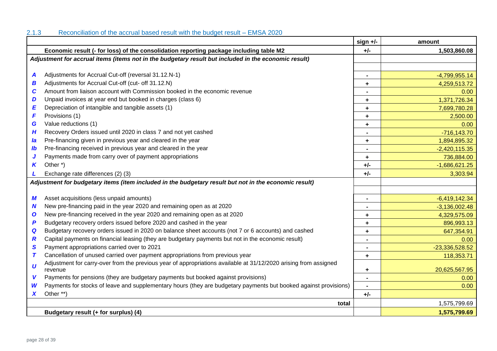<span id="page-29-0"></span>

|                  |                                                                                                                             | $sign +/-$               | amount           |
|------------------|-----------------------------------------------------------------------------------------------------------------------------|--------------------------|------------------|
|                  | Economic result (- for loss) of the consolidation reporting package including table M2                                      | $+/-$                    | 1,503,860.08     |
|                  | Adjustment for accrual items (items not in the budgetary result but included in the economic result)                        |                          |                  |
|                  |                                                                                                                             |                          |                  |
| A                | Adjustments for Accrual Cut-off (reversal 31.12.N-1)                                                                        | $\blacksquare$           | $-4,799,955.14$  |
| B                | Adjustments for Accrual Cut-off (cut- off 31.12.N)                                                                          | ٠                        | 4,259,513.72     |
| C                | Amount from liaison account with Commission booked in the economic revenue                                                  | $\overline{\phantom{a}}$ | 0.00             |
| D                | Unpaid invoices at year end but booked in charges (class 6)                                                                 | $\ddot{\phantom{1}}$     | 1,371,726.34     |
| E                | Depreciation of intangible and tangible assets (1)                                                                          | $\ddot{\phantom{1}}$     | 7,699,780.28     |
| F                | Provisions (1)                                                                                                              | $\ddot{\phantom{1}}$     | 2,500.00         |
| G                | Value reductions (1)                                                                                                        | $\ddot{}$                | 0.00             |
| Н                | Recovery Orders issued until 2020 in class 7 and not yet cashed                                                             | $\blacksquare$           | $-716, 143.70$   |
| la               | Pre-financing given in previous year and cleared in the year                                                                | $\ddot{\phantom{1}}$     | 1,894,895.32     |
| lb               | Pre-financing received in previous year and cleared in the year                                                             | $\blacksquare$           | $-2,420,115.35$  |
| J                | Payments made from carry over of payment appropriations                                                                     | $\ddot{\phantom{1}}$     | 736,884.00       |
| K                | Other *)                                                                                                                    | $+/-$                    | $-1,686,621.25$  |
| L                | Exchange rate differences (2) (3)                                                                                           | $+/-$                    | 3,303.94         |
|                  | Adjustment for budgetary items (item included in the budgetary result but not in the economic result)                       |                          |                  |
|                  |                                                                                                                             |                          |                  |
| M                | Asset acquisitions (less unpaid amounts)                                                                                    | $\blacksquare$           | $-6,419,142.34$  |
| N                | New pre-financing paid in the year 2020 and remaining open as at 2020                                                       | $\blacksquare$           | $-3,136,002.48$  |
| 0                | New pre-financing received in the year 2020 and remaining open as at 2020                                                   | $\ddot{\phantom{1}}$     | 4,329,575.09     |
| P                | Budgetary recovery orders issued before 2020 and cashed in the year                                                         | $\ddot{\phantom{1}}$     | 896,993.13       |
| Q                | Budgetary recovery orders issued in 2020 on balance sheet accounts (not 7 or 6 accounts) and cashed                         | $\ddag$                  | 647,354.91       |
| R                | Capital payments on financial leasing (they are budgetary payments but not in the economic result)                          | $\blacksquare$           | 0.00             |
| S                | Payment appropriations carried over to 2021                                                                                 | $\blacksquare$           | $-23,336,528.52$ |
| $\tau$           | Cancellation of unused carried over payment appropriations from previous year                                               | $\ddot{\phantom{1}}$     | 118,353.71       |
| $\boldsymbol{U}$ | Adjustment for carry-over from the previous year of appropriations available at 31/12/2020 arising from assigned<br>revenue | ٠                        | 20,625,567.95    |
| V                | Payments for pensions (they are budgetary payments but booked against provisions)                                           | $\blacksquare$           | 0.00             |
| W                | Payments for stocks of leave and supplementary hours (they are budgetary payments but booked against provisions)            | $\blacksquare$           | 0.00             |
| X                | Other **)                                                                                                                   | $+/-$                    |                  |
|                  | total                                                                                                                       |                          | 1,575,799.69     |
|                  | Budgetary result (+ for surplus) (4)                                                                                        |                          | 1,575,799.69     |

# 2.1.3 Reconciliation of the accrual based result with the budget result – EMSA 2020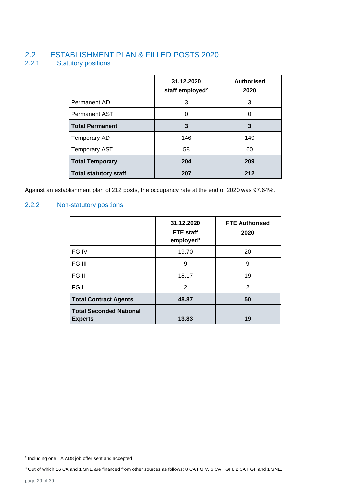## <span id="page-30-0"></span>2.2 ESTABLISHMENT PLAN & FILLED POSTS 2020

## <span id="page-30-1"></span>2.2.1 Statutory positions

|                              | 31.12.2020<br>staff employed <sup>2</sup> | <b>Authorised</b><br>2020 |
|------------------------------|-------------------------------------------|---------------------------|
| Permanent AD                 | 3                                         | 3                         |
| <b>Permanent AST</b>         | O                                         |                           |
| <b>Total Permanent</b>       | 3                                         | 3                         |
| Temporary AD                 | 146                                       | 149                       |
| <b>Temporary AST</b>         | 58                                        | 60                        |
| <b>Total Temporary</b>       | 204                                       | 209                       |
| <b>Total statutory staff</b> | 207                                       | 212                       |

Against an establishment plan of 212 posts, the occupancy rate at the end of 2020 was 97.64%.

#### <span id="page-30-2"></span>2.2.2 Non-statutory positions

|                                                  | 31.12.2020<br><b>FTE</b> staff<br>employed <sup>3</sup> | <b>FTE Authorised</b><br>2020 |
|--------------------------------------------------|---------------------------------------------------------|-------------------------------|
| FG IV                                            | 19.70                                                   | 20                            |
| FG III                                           | 9                                                       | 9                             |
| FG II                                            | 18.17                                                   | 19                            |
| FG I                                             | 2                                                       | $\overline{2}$                |
| <b>Total Contract Agents</b>                     | 48.87                                                   | 50                            |
| <b>Total Seconded National</b><br><b>Experts</b> | 13.83                                                   | 19                            |

<sup>&</sup>lt;sup>2</sup> Including one TA AD8 job offer sent and accepted

<sup>&</sup>lt;sup>3</sup> Out of which 16 CA and 1 SNE are financed from other sources as follows: 8 CA FGIV, 6 CA FGIII, 2 CA FGII and 1 SNE.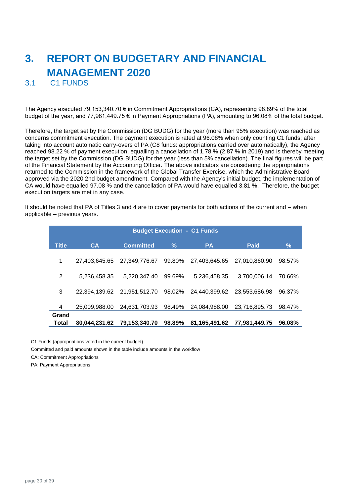# <span id="page-31-0"></span>**3. REPORT ON BUDGETARY AND FINANCIAL MANAGEMENT 2020**

### <span id="page-31-1"></span>3.1 C1 FUNDS

The Agency executed 79,153,340.70 € in Commitment Appropriations (CA), representing 98.89% of the total budget of the year, and 77,981,449.75 € in Payment Appropriations (PA), amounting to 96.08% of the total budget.

Therefore, the target set by the Commission (DG BUDG) for the year (more than 95% execution) was reached as concerns commitment execution. The payment execution is rated at 96.08% when only counting C1 funds; after taking into account automatic carry-overs of PA (C8 funds: appropriations carried over automatically), the Agency reached 98.22 % of payment execution, equalling a cancellation of 1.78 % (2.87 % in 2019) and is thereby meeting the target set by the Commission (DG BUDG) for the year (less than 5% cancellation). The final figures will be part of the Financial Statement by the Accounting Officer. The above indicators are considering the appropriations returned to the Commission in the framework of the Global Transfer Exercise, which the Administrative Board approved via the 2020 2nd budget amendment. Compared with the Agency's initial budget, the implementation of CA would have equalled 97.08 % and the cancellation of PA would have equalled 3.81 %. Therefore, the budget execution targets are met in any case.

It should be noted that PA of Titles 3 and 4 are to cover payments for both actions of the current and – when applicable – previous years.

|              | <b>Budget Execution - C1 Funds</b> |                  |        |               |               |        |
|--------------|------------------------------------|------------------|--------|---------------|---------------|--------|
| <b>Title</b> | CA                                 | <b>Committed</b> | $\%$   | <b>PA</b>     | Paid          | $\%$   |
| 1            | 27.403.645.65                      | 27.349.776.67    | 99.80% | 27,403,645.65 | 27.010.860.90 | 98.57% |
| 2            | 5.236.458.35                       | 5.220.347.40     | 99.69% | 5,236,458.35  | 3.700.006.14  | 70.66% |
| 3            | 22.394.139.62                      | 21,951,512.70    | 98.02% | 24,440,399.62 | 23.553.686.98 | 96.37% |
| 4            | 25.009.988.00                      | 24.631.703.93    | 98.49% | 24.084.988.00 | 23.716.895.73 | 98.47% |
| Grand        |                                    |                  |        |               |               |        |
| Total        | 80.044.231.62                      | 79,153,340.70    | 98.89% | 81,165,491.62 | 77.981.449.75 | 96.08% |

C1 Funds (appropriations voted in the current budget)

Committed and paid amounts shown in the table include amounts in the workflow

CA: Commitment Appropriations

PA: Payment Appropriations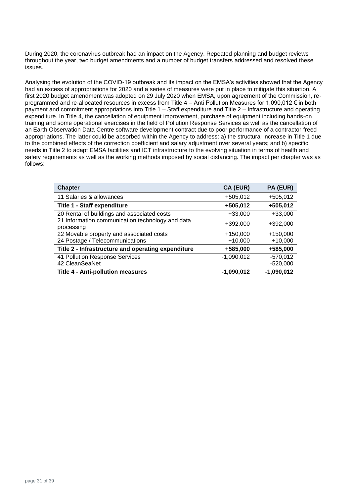During 2020, the coronavirus outbreak had an impact on the Agency. Repeated planning and budget reviews throughout the year, two budget amendments and a number of budget transfers addressed and resolved these issues.

Analysing the evolution of the COVID-19 outbreak and its impact on the EMSA's activities showed that the Agency had an excess of appropriations for 2020 and a series of measures were put in place to mitigate this situation. A first 2020 budget amendment was adopted on 29 July 2020 when EMSA, upon agreement of the Commission, reprogrammed and re-allocated resources in excess from Title 4 – Anti Pollution Measures for 1,090,012 € in both payment and commitment appropriations into Title 1 – Staff expenditure and Title 2 – Infrastructure and operating expenditure. In Title 4, the cancellation of equipment improvement, purchase of equipment including hands-on training and some operational exercises in the field of Pollution Response Services as well as the cancellation of an Earth Observation Data Centre software development contract due to poor performance of a contractor freed appropriations. The latter could be absorbed within the Agency to address: a) the structural increase in Title 1 due to the combined effects of the correction coefficient and salary adjustment over several years; and b) specific needs in Title 2 to adapt EMSA facilities and ICT infrastructure to the evolving situation in terms of health and safety requirements as well as the working methods imposed by social distancing. The impact per chapter was as follows:

| <b>Chapter</b>                                                 | CA (EUR)     | PA (EUR)     |
|----------------------------------------------------------------|--------------|--------------|
| 11 Salaries & allowances                                       | $+505,012$   | $+505,012$   |
| <b>Title 1 - Staff expenditure</b>                             | $+505,012$   | +505,012     |
| 20 Rental of buildings and associated costs                    | $+33,000$    | $+33,000$    |
| 21 Information communication technology and data<br>processing | $+392,000$   | $+392,000$   |
| 22 Movable property and associated costs                       | $+150,000$   | $+150,000$   |
| 24 Postage / Telecommunications                                | $+10,000$    | $+10,000$    |
| Title 2 - Infrastructure and operating expenditure             | +585,000     | +585,000     |
| 41 Pollution Response Services                                 | $-1,090,012$ | $-570,012$   |
| 42 CleanSeaNet                                                 |              | $-520,000$   |
| Title 4 - Anti-pollution measures                              | $-1.090.012$ | $-1,090,012$ |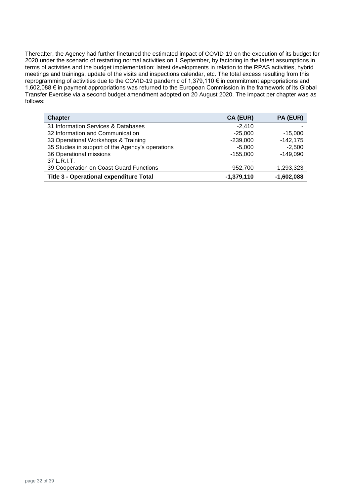Thereafter, the Agency had further finetuned the estimated impact of COVID-19 on the execution of its budget for 2020 under the scenario of restarting normal activities on 1 September, by factoring in the latest assumptions in terms of activities and the budget implementation: latest developments in relation to the RPAS activities, hybrid meetings and trainings, update of the visits and inspections calendar, etc. The total excess resulting from this reprogramming of activities due to the COVID-19 pandemic of 1,379,110 € in commitment appropriations and 1,602,088 € in payment appropriations was returned to the European Commission in the framework of its Global Transfer Exercise via a second budget amendment adopted on 20 August 2020. The impact per chapter was as follows:

| <b>Chapter</b>                                   | CA (EUR)     | PA (EUR)     |
|--------------------------------------------------|--------------|--------------|
| 31 Information Services & Databases              | $-2.410$     |              |
| 32 Information and Communication                 | $-25.000$    | $-15.000$    |
| 33 Operational Workshops & Training              | $-239,000$   | $-142,175$   |
| 35 Studies in support of the Agency's operations | $-5.000$     | $-2.500$     |
| 36 Operational missions                          | $-155,000$   | $-149,090$   |
| 37 L.R.I.T.                                      |              |              |
| 39 Cooperation on Coast Guard Functions          | $-952,700$   | $-1,293,323$ |
| <b>Title 3 - Operational expenditure Total</b>   | $-1,379,110$ | $-1,602,088$ |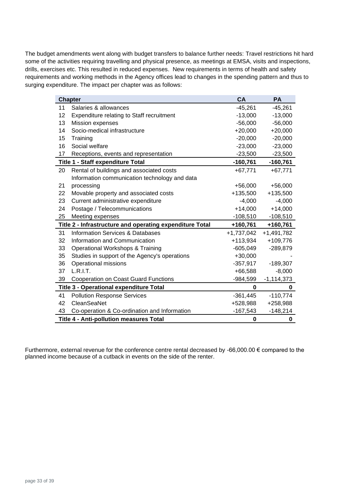The budget amendments went along with budget transfers to balance further needs: Travel restrictions hit hard some of the activities requiring travelling and physical presence, as meetings at EMSA, visits and inspections, drills, exercises etc. This resulted in reduced expenses. New requirements in terms of health and safety requirements and working methods in the Agency offices lead to changes in the spending pattern and thus to surging expenditure. The impact per chapter was as follows:

|    | <b>Chapter</b>                                           | CA           | <b>PA</b>    |
|----|----------------------------------------------------------|--------------|--------------|
| 11 | Salaries & allowances                                    | $-45,261$    | $-45,261$    |
| 12 | Expenditure relating to Staff recruitment                | $-13,000$    | $-13,000$    |
| 13 | <b>Mission expenses</b>                                  | $-56,000$    | $-56,000$    |
| 14 | Socio-medical infrastructure                             | $+20,000$    | $+20,000$    |
| 15 | Training                                                 | $-20,000$    | $-20,000$    |
| 16 | Social welfare                                           | $-23,000$    | $-23,000$    |
| 17 | Receptions, events and representation                    | $-23,500$    | $-23,500$    |
|    | <b>Title 1 - Staff expenditure Total</b>                 | $-160,761$   | $-160,761$   |
| 20 | Rental of buildings and associated costs                 | $+67,771$    | $+67,771$    |
|    | Information communication technology and data            |              |              |
| 21 | processing                                               | $+56,000$    | $+56,000$    |
| 22 | Movable property and associated costs                    | +135,500     | +135,500     |
| 23 | Current administrative expenditure                       | $-4,000$     | $-4,000$     |
| 24 | Postage / Telecommunications                             | $+14,000$    | $+14,000$    |
| 25 | Meeting expenses                                         | $-108,510$   | $-108,510$   |
|    | Title 2 - Infrastructure and operating expenditure Total | +160,761     | +160,761     |
| 31 | <b>Information Services &amp; Databases</b>              | $+1,737,042$ | +1,491,782   |
| 32 | Information and Communication                            | +113,934     | +109,776     |
| 33 | <b>Operational Workshops &amp; Training</b>              | $-605,049$   | $-289,879$   |
| 35 | Studies in support of the Agency's operations            | $+30,000$    |              |
| 36 | Operational missions                                     | $-357,917$   | $-189,307$   |
| 37 | L.R.I.T.                                                 | +66,588      | $-8,000$     |
| 39 | <b>Cooperation on Coast Guard Functions</b>              | $-984,599$   | $-1,114,373$ |
|    | Title 3 - Operational expenditure Total                  | $\bf{0}$     | 0            |
| 41 | <b>Pollution Response Services</b>                       | $-361,445$   | $-110,774$   |
| 42 | CleanSeaNet                                              | +528,988     | +258,988     |
| 43 | Co-operation & Co-ordination and Information             | $-167,543$   | $-148,214$   |
|    | Title 4 - Anti-pollution measures Total                  | 0            | 0            |

Furthermore, external revenue for the conference centre rental decreased by -66,000.00 € compared to the planned income because of a cutback in events on the side of the renter.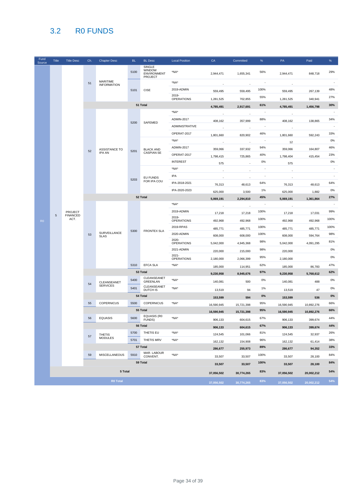# <span id="page-35-0"></span>3.2 R0 FUNDS

| Fund<br>Source | Title      | <b>Title Desc</b>          | Ch.                            | <b>Chapter Desc</b>             | <b>BL</b>                  | <b>BL</b> Desc                                           | <b>Local Position</b>      | <b>CA</b>                            | Committed                     | %         | PA         | Paid       | %                        |
|----------------|------------|----------------------------|--------------------------------|---------------------------------|----------------------------|----------------------------------------------------------|----------------------------|--------------------------------------|-------------------------------|-----------|------------|------------|--------------------------|
|                |            |                            |                                |                                 | 5100                       | SINGLE<br>WINDOW<br><b>ENVIRONMENT</b><br><b>PROJECT</b> | *NA*                       | 2,944,471                            | 1,655,341                     | 56%       | 2,944,471  | 848,718    | 29%                      |
|                | 51         |                            | MARITIME<br><b>INFORMATION</b> |                                 |                            | *NA*                                                     |                            |                                      | $\sim$                        |           |            | $\sim$     |                          |
|                |            |                            |                                | 5101                            | CISE                       | 2019-ADMIN                                               | 559,495                    | 559,495                              | 100%                          | 559,495   | 267,139    | 48%        |                          |
|                |            |                            |                                |                                 | 2019-<br><b>OPERATIONS</b> | 1,281,525                                                | 702,855                    | 55%                                  | 1,281,525                     | 340,941   | 27%        |            |                          |
|                |            |                            |                                |                                 |                            | 51 Total                                                 |                            | 4,785,491                            | 2,917,691                     | 61%       | 4,785,491  | 1,456,798  | 30%                      |
|                |            |                            |                                |                                 |                            |                                                          | *NA*                       |                                      | $\overline{\phantom{a}}$      | $\sim$    |            |            | $\overline{\phantom{a}}$ |
|                |            |                            |                                |                                 | 5200                       | <b>SAFEMED</b>                                           | <b>ADMIN-2017</b>          | 408,162                              | 357.999                       | 88%       | 408,162    | 138.865    | 34%                      |
|                |            |                            |                                |                                 |                            |                                                          | <b>ADMINISTRATIVE</b>      |                                      |                               | $\sim$    |            |            |                          |
|                |            |                            |                                |                                 |                            |                                                          | OPERAT-2017                | 1,801,660                            | 820.902                       | 46%       | 1,801,660  | 592.243    | 33%                      |
|                |            |                            |                                |                                 |                            |                                                          | *NA*                       |                                      |                               | $\sim$    | 12         |            | 0%                       |
|                |            |                            | 52                             | <b>ASSISTANCE TO</b>            | 5201                       | <b>BLACK AND</b>                                         | <b>ADMIN-2017</b>          | 359,066                              | 337,932                       | 94%       | 359,066    | 164,807    | 46%                      |
|                |            |                            |                                | IPA AN                          |                            | <b>CASPIAN SE</b>                                        | OPERAT-2017                | 1,798,415                            | 725,865                       | 40%       | 1,798,404  | 415,454    | 23%                      |
|                |            |                            |                                |                                 |                            |                                                          | <b>INTEREST</b>            | 575                                  |                               | $0\%$     | 575        |            | 0%                       |
|                |            |                            |                                |                                 |                            |                                                          | *NA*                       |                                      |                               |           |            |            |                          |
|                |            |                            |                                |                                 | 5203                       | EU FUNDS<br>FOR IPA COU                                  | IPA                        |                                      | $\overline{\phantom{a}}$      | $\sim$    |            |            | $\overline{\phantom{a}}$ |
|                |            |                            |                                |                                 |                            |                                                          | IPA-2018-2021              | 76,313                               | 48,613                        | 64%       | 76,313     | 48,613     | 64%                      |
|                |            |                            |                                |                                 |                            |                                                          | IPA-2020-2023              | 625,000                              | 3,500                         | 1%        | 625,000    | 1,882      | 0%                       |
|                |            |                            |                                |                                 |                            | 52 Total                                                 |                            | 5,069,191                            | 2,294,810                     | 45%       | 5,069,191  | 1,361,864  | 27%                      |
|                |            |                            |                                |                                 |                            |                                                          | *NA*                       |                                      |                               | $\sim$    |            |            | 99%                      |
|                | $\sqrt{5}$ | PROJECT<br><b>FINANCED</b> |                                |                                 | 5300                       | <b>FRONTEX SLA</b>                                       | 2019-ADMIN<br>2019-        | 17,218                               | 17,218                        | 100%      | 17,218     | 17,031     |                          |
| R <sub>0</sub> |            | ACT.                       |                                |                                 |                            |                                                          | <b>OPERATIONS</b>          | 492,968                              | 492,968                       | 100%      | 492,968    | 492,968    | 100%                     |
|                |            |                            |                                |                                 |                            |                                                          | 2019-RPAS                  | 485,771                              | 485,771                       | 100%      | 485,771    | 485,771    | 100%                     |
|                |            |                            | 53                             | SURVEILLANCE<br><b>SLAS</b>     |                            |                                                          | 2020-ADMIN                 | 608,000                              | 608,000                       | 100%      | 608,000    | 594,764    | 98%                      |
|                |            |                            |                                |                                 |                            |                                                          | 2020-<br><b>OPERATIONS</b> | 5,042,000                            | 4,945,368                     | 98%       | 5,042,000  | 4,091,295  | 81%                      |
|                |            |                            |                                |                                 |                            |                                                          | 2021-ADMIN                 | 220,000                              | 215,000                       | 98%       | 220,000    |            | 0%                       |
|                |            |                            |                                |                                 |                            |                                                          |                            |                                      | $2021 -$<br><b>OPERATIONS</b> | 2,180,000 | 2,066,399  | 95%        | 2,180,000                |
|                |            |                            |                                |                                 | 5310                       | <b>EFCA SLA</b>                                          | *NA*                       | 62%<br>185,000<br>114,951<br>185,000 | 86,783                        | 47%       |            |            |                          |
|                |            |                            |                                |                                 |                            | 53 Total                                                 |                            | 9,230,958                            | 8,945,676                     | 97%       | 9,230,958  | 5,768,612  | 62%                      |
|                |            |                            |                                | CLEANSEANET                     | 5400                       | CLEANSEANET<br><b>GREENLAN</b>                           | *NA*                       | 140,081                              | 500                           | 0%        | 140,081    | 488        | 0%                       |
|                |            |                            | 54                             | <b>SERVICES</b>                 | 5401                       | CLEANSEANET<br>DUTCH IS                                  | *NA*                       |                                      | 94                            | 1%        | 13,519     | 47         | 0%                       |
|                |            |                            |                                |                                 |                            | 54 Total                                                 |                            | 13,519                               |                               | 0%        |            |            | 0%                       |
|                |            |                            | 55                             | <b>COPERNICUS</b>               | 5500                       | <b>COPERNICUS</b>                                        | *NA*                       | 153,599                              | 594                           | 95%       | 153,599    | 536        | 66%                      |
|                |            |                            |                                |                                 |                            | 55 Total                                                 |                            | 16,590,945                           | 15,721,398                    | 95%       | 16,590,945 | 10,892,276 | 66%                      |
|                |            |                            | 56                             | <b>EQUASIS</b>                  | 5600                       | EQUASIS (RO                                              | *NA*                       | 16,590,945                           | 15,721,398                    | 67%       | 16,590,945 | 10,892,276 | 44%                      |
|                |            |                            |                                |                                 |                            | FUNDS)<br>56 Total                                       |                            | 906,133                              | 604,615                       | 67%       | 906,133    | 399,674    | 44%                      |
|                |            |                            |                                |                                 |                            | 5700 THETIS EU                                           | *NA*                       | 906,133                              | 604,615                       | 81%       | 906,133    | 399,674    | 26%                      |
|                |            |                            | 57                             | <b>THETIS</b><br><b>MODULES</b> | 5701                       | THETIS MRV                                               | *NA*                       | 124,545                              | 101,066                       | 96%       | 124,545    | 32,937     | 38%                      |
|                |            |                            |                                |                                 |                            | 57 Total                                                 |                            | 162,132                              | 154,908                       | 89%       | 162,132    | 61,414     | 33%                      |
|                |            |                            | 59                             | MISCELLANEOUS                   | 5910                       | MAR. LABOUR                                              | *NA*                       | 286,677                              | 255,973                       | 100%      | 286,677    | 94,352     | 84%                      |
|                |            |                            |                                |                                 |                            | CONVENT.                                                 |                            | 33,507                               | 33,507                        | 100%      | 33,507     | 28,100     | 84%                      |
|                | 59 Total   |                            |                                |                                 |                            | 33,507                                                   | 33,507                     |                                      | 33,507                        | 28,100    |            |            |                          |
|                |            |                            |                                | 5 Total                         |                            |                                                          |                            | 37,056,502                           | 30,774,265                    | 83%       | 37,056,502 | 20,002,212 | 54%                      |
|                |            |                            |                                | R0 Total                        |                            |                                                          |                            | 37,056,502                           | 30,774,265                    | 83%       | 37,056,502 | 20,002,212 | 54%                      |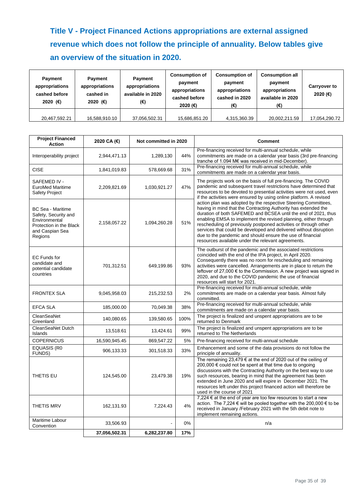# **Title V - Project Financed Actions appropriations are external assigned revenue which does not follow the principle of annuality. Below tables give an overview of the situation in 2020.**

| Payment<br>appropriations<br>cashed before<br>2020 (€) | Payment<br>appropriations<br>cashed in<br>2020 (€) | <b>Payment</b><br>appropriations<br>available in 2020<br>(€) | <b>Consumption of</b><br>payment<br>appropriations<br>cashed before<br>2020 (€) | <b>Consumption of</b><br>payment<br>appropriations<br>cashed in 2020<br>(€) | <b>Consumption all</b><br>payment<br>appropriations<br>available in 2020<br>(€) | Carryover to<br>2020 (€) |
|--------------------------------------------------------|----------------------------------------------------|--------------------------------------------------------------|---------------------------------------------------------------------------------|-----------------------------------------------------------------------------|---------------------------------------------------------------------------------|--------------------------|
| 20,467,592.21                                          | 16,588,910.10                                      | 37,056,502.31                                                | 15,686,851.20                                                                   | 4,315,360.39                                                                | 20,002,211.59                                                                   | 17,054,290.72            |

| <b>Project Financed</b><br><b>Action</b>                                                                                   | 2020 CA (€)   | Not committed in 2020 |      | <b>Comment</b>                                                                                                                                                                                                                                                                                                                                                                                                                                                                                                                     |
|----------------------------------------------------------------------------------------------------------------------------|---------------|-----------------------|------|------------------------------------------------------------------------------------------------------------------------------------------------------------------------------------------------------------------------------------------------------------------------------------------------------------------------------------------------------------------------------------------------------------------------------------------------------------------------------------------------------------------------------------|
| Interoperability project                                                                                                   | 2,944,471.13  | 1,289,130             | 44%  | Pre-financing received for multi-annual schedule, while<br>commitments are made on a calendar year basis (3rd pre-financing<br>tranche of 1.094 M€ was received in mid-December).                                                                                                                                                                                                                                                                                                                                                  |
| <b>CISE</b>                                                                                                                | 1,841,019.83  | 578,669.68            | 31%  | Pre-financing received for multi-annual schedule, while<br>commitments are made on a calendar year basis.                                                                                                                                                                                                                                                                                                                                                                                                                          |
| SAFEMED IV -<br><b>EuroMed Maritime</b><br><b>Safety Project</b>                                                           | 2,209,821.69  | 1,030,921.27          | 47%  | The projects work on the basis of full pre-financing. The COVID<br>pandemic and subsequent travel restrictions have determined that<br>resources to be devoted to presential activities were not used, even<br>if the activities were ensured by using online platform. A revised                                                                                                                                                                                                                                                  |
| <b>BC Sea - Maritime</b><br>Safety, Security and<br>Environmental<br>Protection in the Black<br>and Caspian Sea<br>Regions | 2,158,057.22  | 1,094,260.28          | 51%  | action plan was adopted by the respective Steering Committees,<br>having in mind that the Contracting Authority has extended the<br>duration of both SAFEMED and BCSEA until the end of 2021, thus<br>enabling EMSA to implement the revised planning, either through<br>rescheduling of previously postponed activities or through other<br>services that could be developed and delivered without disruption<br>due to the pandemic and should ensure the use of financial<br>resources available under the relevant agreements. |
| <b>EC Funds for</b><br>candidate and<br>potential candidate<br>countries                                                   | 701,312.51    | 649,199.86            | 93%  | The outburst of the pandemic and the associated restrictions<br>coincided with the end of the IPA project, in April 2020.<br>Consequently there was no room for rescheduling and remaining<br>activities were cancelled. Arrangements are in place to return the<br>leftover of 27,000 € to the Commission. A new project was signed in<br>2020, and due to the COVID pandemic the use of financial<br>resources will start for 2021.                                                                                              |
| <b>FRONTEX SLA</b>                                                                                                         | 9,045,958.03  | 215,232.53            | 2%   | Pre-financing received for multi-annual schedule, while<br>commitments are made on a calendar year basis. Almost fully<br>committed.                                                                                                                                                                                                                                                                                                                                                                                               |
| <b>EFCA SLA</b>                                                                                                            | 185,000.00    | 70,049.38             | 38%  | Pre-financing received for multi-annual schedule, while<br>commitments are made on a calendar year basis.                                                                                                                                                                                                                                                                                                                                                                                                                          |
| CleanSeaNet<br>Greenland                                                                                                   | 140,080.65    | 139,580.65            | 100% | The project is finalized and unspent appropriations are to be<br>returned to Denmark                                                                                                                                                                                                                                                                                                                                                                                                                                               |
| <b>CleanSeaNet Dutch</b><br>Islands                                                                                        | 13,518.61     | 13,424.61             | 99%  | The project is finalized and unspent appropriations are to be<br>returned to The Netherlands                                                                                                                                                                                                                                                                                                                                                                                                                                       |
| <b>COPERNICUS</b>                                                                                                          | 16,590,945.45 | 869,547.22            | 5%   | Pre-financing received for multi-annual schedule                                                                                                                                                                                                                                                                                                                                                                                                                                                                                   |
| <b>EQUASIS (R0</b><br><b>FUNDS)</b>                                                                                        | 906,133.33    | 301,518.33            | 33%  | Enhancement and some of the data provisions do not follow the<br>principle of annuality.                                                                                                                                                                                                                                                                                                                                                                                                                                           |
| THETIS EU                                                                                                                  | 124,545.00    | 23,479.38             | 19%  | The remaining $23,479 \in \text{at}$ the end of 2020 out of the ceiling of<br>200,000 € could not be spent at that time due to ongoing<br>discussions with the Contracting Authority on the best way to use<br>such resources, bearing in mind that the agreement has been<br>extended in June 2020 and will expire in December 2021. The<br>resources left under this project financed action will therefore be<br>used in the course of 2021                                                                                     |
| <b>THETIS MRV</b>                                                                                                          | 162,131.93    | 7,224.43              | 4%   | 7,224 € at the end of year are too few resources to start a new<br>action. The 7,224 € will be pooled together with the 200,000 € to be<br>received in January /February 2021 with the 5th debit note to<br>implement remaining actions.                                                                                                                                                                                                                                                                                           |
| Maritime Labour<br>Convention                                                                                              | 33,506.93     |                       | 0%   | n/a                                                                                                                                                                                                                                                                                                                                                                                                                                                                                                                                |
|                                                                                                                            | 37,056,502.31 | 6,282,237.80          | 17%  |                                                                                                                                                                                                                                                                                                                                                                                                                                                                                                                                    |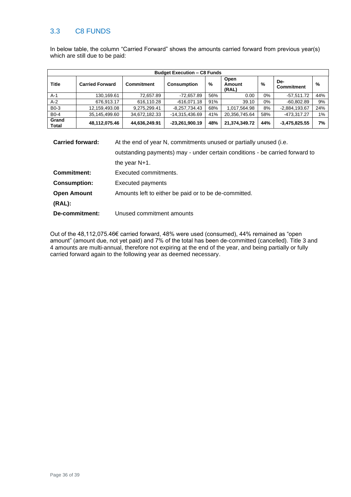### <span id="page-37-0"></span>3.3 C8 FUNDS

In below table, the column "Carried Forward" shows the amounts carried forward from previous year(s) which are still due to be paid:

|                   | <b>Budget Execution - C8 Funds</b> |                   |                    |     |                         |     |                          |     |  |  |  |  |
|-------------------|------------------------------------|-------------------|--------------------|-----|-------------------------|-----|--------------------------|-----|--|--|--|--|
| <b>Title</b>      | <b>Carried Forward</b>             | <b>Commitment</b> | <b>Consumption</b> | %   | Open<br>Amount<br>(RAL) | %   | De-<br><b>Commitment</b> | %   |  |  |  |  |
| $A-1$             | 130,169.61                         | 72,657.89         | $-72,657.89$       | 56% | 0.00                    | 0%  | $-57,511.72$             | 44% |  |  |  |  |
| $A-2$             | 676.913.17                         | 616,110.28        | $-616.071.18$      | 91% | 39.10                   | 0%  | $-60,802.89$             | 9%  |  |  |  |  |
| B <sub>0</sub> -3 | 12,159,493.08                      | 9,275,299.41      | $-8,257,734.43$    | 68% | 1,017,564.98            | 8%  | $-2,884,193.67$          | 24% |  |  |  |  |
| <b>B0-4</b>       | 35,145,499.60                      | 34,672,182.33     | $-14,315,436.69$   | 41% | 20,356,745.64           | 58% | $-473.317.27$            | 1%  |  |  |  |  |
| Grand<br>Total    | 48,112,075.46                      | 44,636,249.91     | $-23,261,900.19$   | 48% | 21,374,349.72           | 44% | $-3,475,825.55$          | 7%  |  |  |  |  |

| <b>Carried forward:</b> | At the end of year N, commitments unused or partially unused (i.e.           |  |  |  |  |
|-------------------------|------------------------------------------------------------------------------|--|--|--|--|
|                         | outstanding payments) may - under certain conditions - be carried forward to |  |  |  |  |
|                         | the year $N+1$ .                                                             |  |  |  |  |
| <b>Commitment:</b>      | Executed commitments.                                                        |  |  |  |  |
| <b>Consumption:</b>     | Executed payments                                                            |  |  |  |  |
| <b>Open Amount</b>      | Amounts left to either be paid or to be de-committed.                        |  |  |  |  |
| (RAL):                  |                                                                              |  |  |  |  |
| De-commitment:          | Unused commitment amounts                                                    |  |  |  |  |

Out of the 48,112,075.46€ carried forward, 48% were used (consumed), 44% remained as "open amount" (amount due, not yet paid) and 7% of the total has been de-committed (cancelled). Title 3 and 4 amounts are multi-annual, therefore not expiring at the end of the year, and being partially or fully carried forward again to the following year as deemed necessary.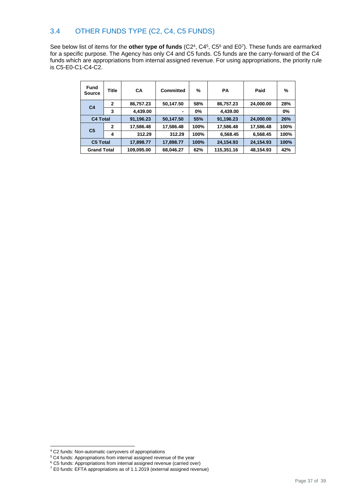## <span id="page-38-0"></span>3.4 OTHER FUNDS TYPE (C2, C4, C5 FUNDS)

See below list of items for the **other type of funds** (C2<sup>4</sup>, C4<sup>5</sup>, C5<sup>6</sup> and E0<sup>7</sup>). These funds are earmarked for a specific purpose. The Agency has only C4 and C5 funds. C5 funds are the carry-forward of the C4 funds which are appropriations from internal assigned revenue. For using appropriations, the priority rule is C5-E0-C1-C4-C2.

| <b>Fund</b><br>Source | <b>Title</b> | СA         | Committed | %     | PA         | Paid      | %    |
|-----------------------|--------------|------------|-----------|-------|------------|-----------|------|
| C <sub>4</sub>        | $\mathbf{2}$ | 86,757.23  | 50,147.50 | 58%   | 86,757.23  | 24,000.00 | 28%  |
|                       | 3            | 4,439.00   |           | $0\%$ | 4,439.00   |           | 0%   |
| <b>C4 Total</b>       |              | 91,196.23  | 50,147.50 | 55%   | 91,196.23  | 24,000.00 | 26%  |
| C <sub>5</sub>        | $\mathbf{2}$ | 17,586.48  | 17,586.48 | 100%  | 17.586.48  | 17,586.48 | 100% |
|                       | 4            | 312.29     | 312.29    | 100%  | 6,568.45   | 6,568.45  | 100% |
| C <sub>5</sub> Total  |              | 17,898.77  | 17,898.77 | 100%  | 24,154.93  | 24,154.93 | 100% |
| <b>Grand Total</b>    |              | 109,095.00 | 68,046.27 | 62%   | 115,351.16 | 48,154.93 | 42%  |

<sup>4</sup> C2 funds: Non-automatic carryovers of appropriations

<sup>&</sup>lt;sup>5</sup> C4 funds: Appropriations from internal assigned revenue of the year

<sup>&</sup>lt;sup>6</sup> C5 funds: Appropriations from internal assigned revenue (carried over)

<sup>7</sup> E0 funds: EFTA appropriations as of 1.1.2019 (external assigned revenue)